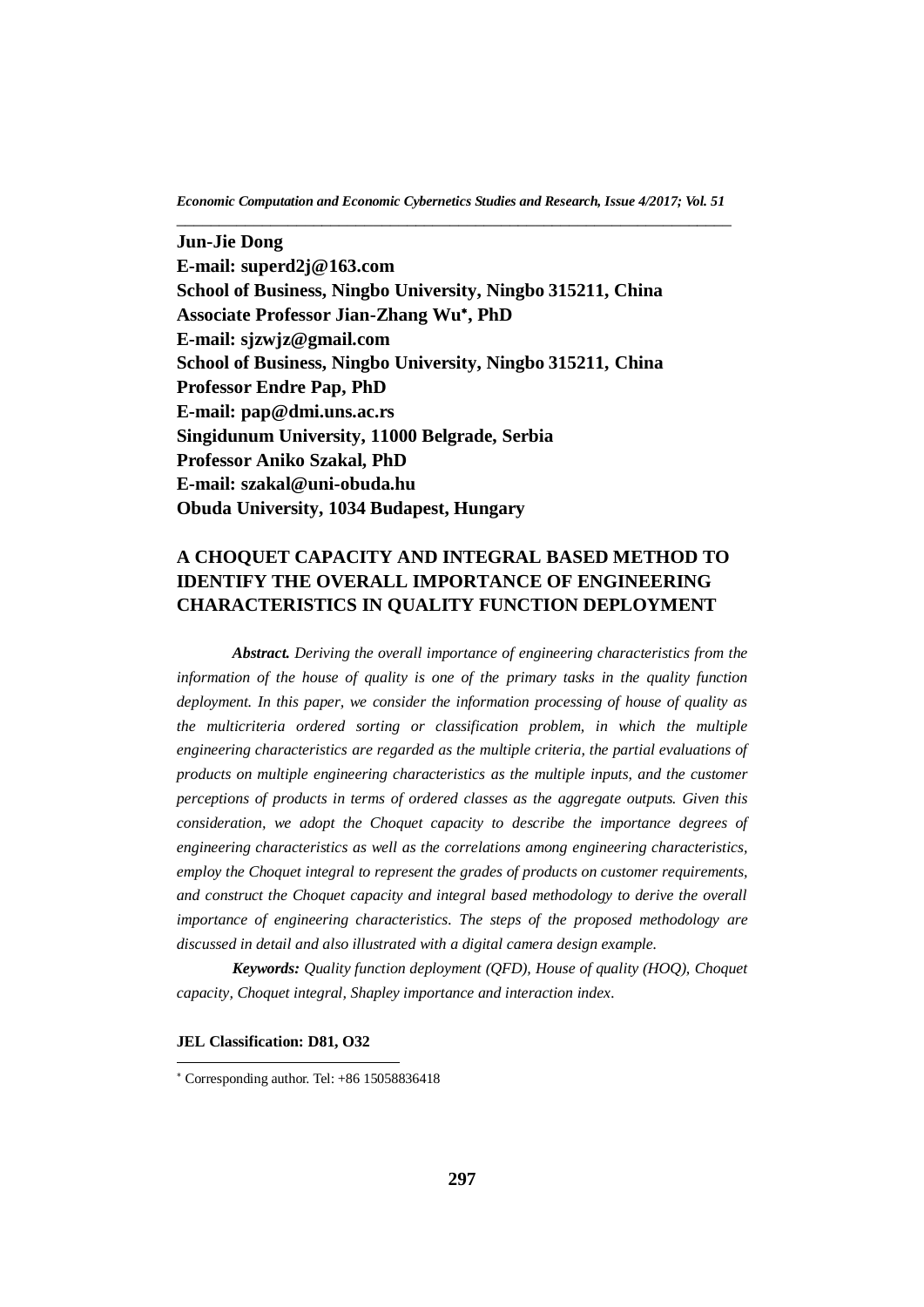**Jun-Jie Dong E-mail: [superd2j@163.com](mailto:superd2j@163.com) School of Business, Ningbo University, Ningbo 315211, China Associate Professor Jian-Zhang Wu , PhD E-mail: sjzwjz@gmail.com School of Business, Ningbo University, Ningbo 315211, China Professor Endre Pap, PhD E-mail: [pap@dmi.uns.ac.rs](mailto:pap@dmi.uns.ac.rs) Singidunum University, 11000 Belgrade, Serbia Professor Aniko Szakal, PhD E-mail: [szakal@uni-obuda.hu](mailto:szakal@uni-obuda.hu) Obuda University, 1034 Budapest, Hungary**

# **A CHOQUET CAPACITY AND INTEGRAL BASED METHOD TO IDENTIFY THE OVERALL IMPORTANCE OF ENGINEERING CHARACTERISTICS IN QUALITY FUNCTION DEPLOYMENT**

*Abstract. Deriving the overall importance of engineering characteristics from the information of the house of quality is one of the primary tasks in the quality function deployment. In this paper, we consider the information processing of house of quality as the multicriteria ordered sorting or classification problem, in which the multiple engineering characteristics are regarded as the multiple criteria, the partial evaluations of products on multiple engineering characteristics as the multiple inputs, and the customer perceptions of products in terms of ordered classes as the aggregate outputs. Given this consideration, we adopt the Choquet capacity to describe the importance degrees of engineering characteristics as well as the correlations among engineering characteristics, employ the Choquet integral to represent the grades of products on customer requirements, and construct the Choquet capacity and integral based methodology to derive the overall importance of engineering characteristics. The steps of the proposed methodology are discussed in detail and also illustrated with a digital camera design example.*

*Keywords: Quality function deployment (QFD), House of quality (HOQ), Choquet capacity, Choquet integral, Shapley importance and interaction index.*

#### **JEL Classification: D81, O32**

l

 $*$  Corresponding author. Tel:  $+86$  15058836418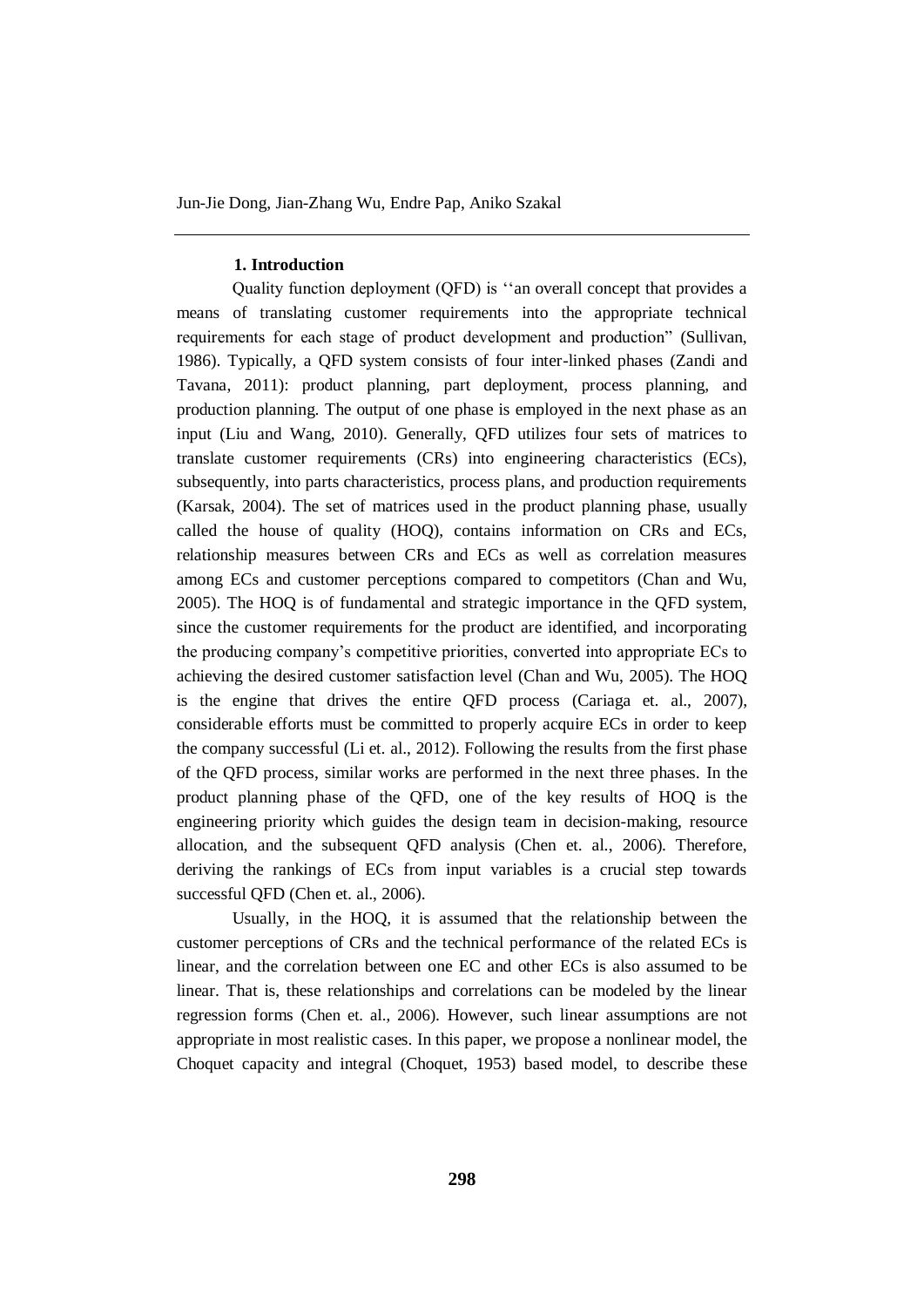# **1. Introduction**

Quality function deployment (QFD) is ''an overall concept that provides a means of translating customer requirements into the appropriate technical requirements for each stage of product development and production" (Sullivan, 1986). Typically, a QFD system consists of four inter-linked phases (Zandi and Tavana, 2011): product planning, part deployment, process planning, and production planning. The output of one phase is employed in the next phase as an input (Liu and Wang, 2010). Generally, QFD utilizes four sets of matrices to translate customer requirements (CRs) into engineering characteristics (ECs), subsequently, into parts characteristics, process plans, and production requirements (Karsak, 2004). The set of matrices used in the product planning phase, usually called the house of quality (HOQ), contains information on CRs and ECs, relationship measures between CRs and ECs as well as correlation measures among ECs and customer perceptions compared to competitors (Chan and Wu, 2005). The HOQ is of fundamental and strategic importance in the QFD system, since the customer requirements for the product are identified, and incorporating the producing company's competitive priorities, converted into appropriate ECs to achieving the desired customer satisfaction level (Chan and Wu, 2005). The HOQ is the engine that drives the entire QFD process (Cariaga et. al., 2007), considerable efforts must be committed to properly acquire ECs in order to keep the company successful (Li et. al., 2012). Following the results from the first phase of the QFD process, similar works are performed in the next three phases. In the product planning phase of the QFD, one of the key results of HOQ is the engineering priority which guides the design team in decision-making, resource allocation, and the subsequent QFD analysis (Chen et. al., 2006). Therefore, deriving the rankings of ECs from input variables is a crucial step towards successful OFD (Chen et. al., 2006).

Usually, in the HOQ, it is assumed that the relationship between the customer perceptions of CRs and the technical performance of the related ECs is linear, and the correlation between one EC and other ECs is also assumed to be linear. That is, these relationships and correlations can be modeled by the linear regression forms (Chen et. al., 2006). However, such linear assumptions are not appropriate in most realistic cases. In this paper, we propose a nonlinear model, the Choquet capacity and integral (Choquet, 1953) based model, to describe these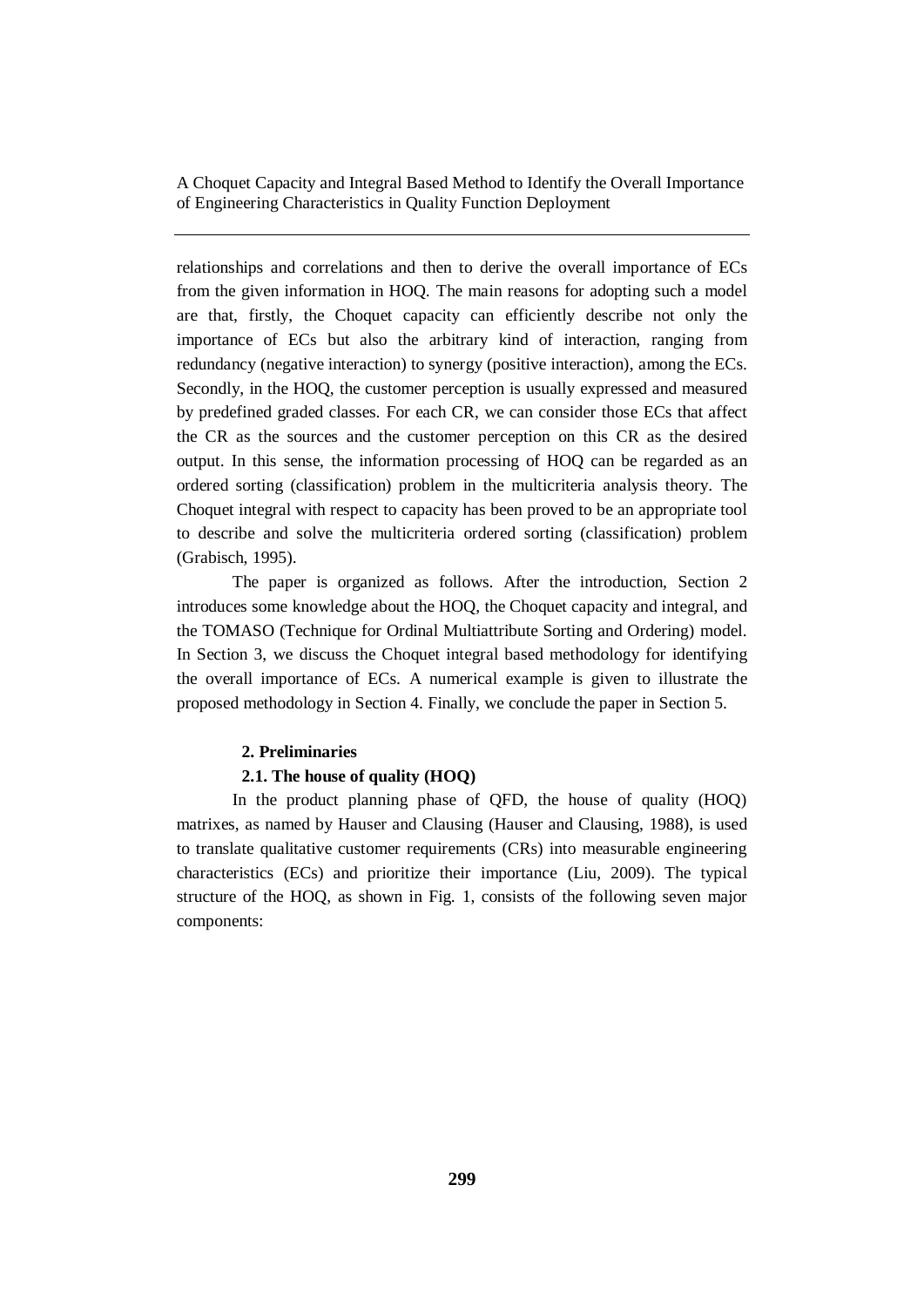relationships and correlations and then to derive the overall importance of ECs from the given information in HOQ. The main reasons for adopting such a model are that, firstly, the Choquet capacity can efficiently describe not only the importance of ECs but also the arbitrary kind of interaction, ranging from redundancy (negative interaction) to synergy (positive interaction), among the ECs. Secondly, in the HOQ, the customer perception is usually expressed and measured by predefined graded classes. For each CR, we can consider those ECs that affect the CR as the sources and the customer perception on this CR as the desired output. In this sense, the information processing of HOQ can be regarded as an ordered sorting (classification) problem in the multicriteria analysis theory. The Choquet integral with respect to capacity has been proved to be an appropriate tool to describe and solve the multicriteria ordered sorting (classification) problem (Grabisch, 1995).

The paper is organized as follows. After the introduction, Section 2 introduces some knowledge about the HOQ, the Choquet capacity and integral, and the TOMASO (Technique for Ordinal Multiattribute Sorting and Ordering) model. In Section 3, we discuss the Choquet integral based methodology for identifying the overall importance of ECs. A numerical example is given to illustrate the proposed methodology in Section 4. Finally, we conclude the paper in Section 5.

# **2. Preliminaries**

# **2.1. The house of quality (HOQ)**

In the product planning phase of QFD, the house of quality (HOQ) matrixes, as named by Hauser and Clausing (Hauser and Clausing, 1988), is used to translate qualitative customer requirements (CRs) into measurable engineering characteristics (ECs) and prioritize their importance (Liu, 2009). The typical structure of the HOQ, as shown in Fig. 1, consists of the following seven major components: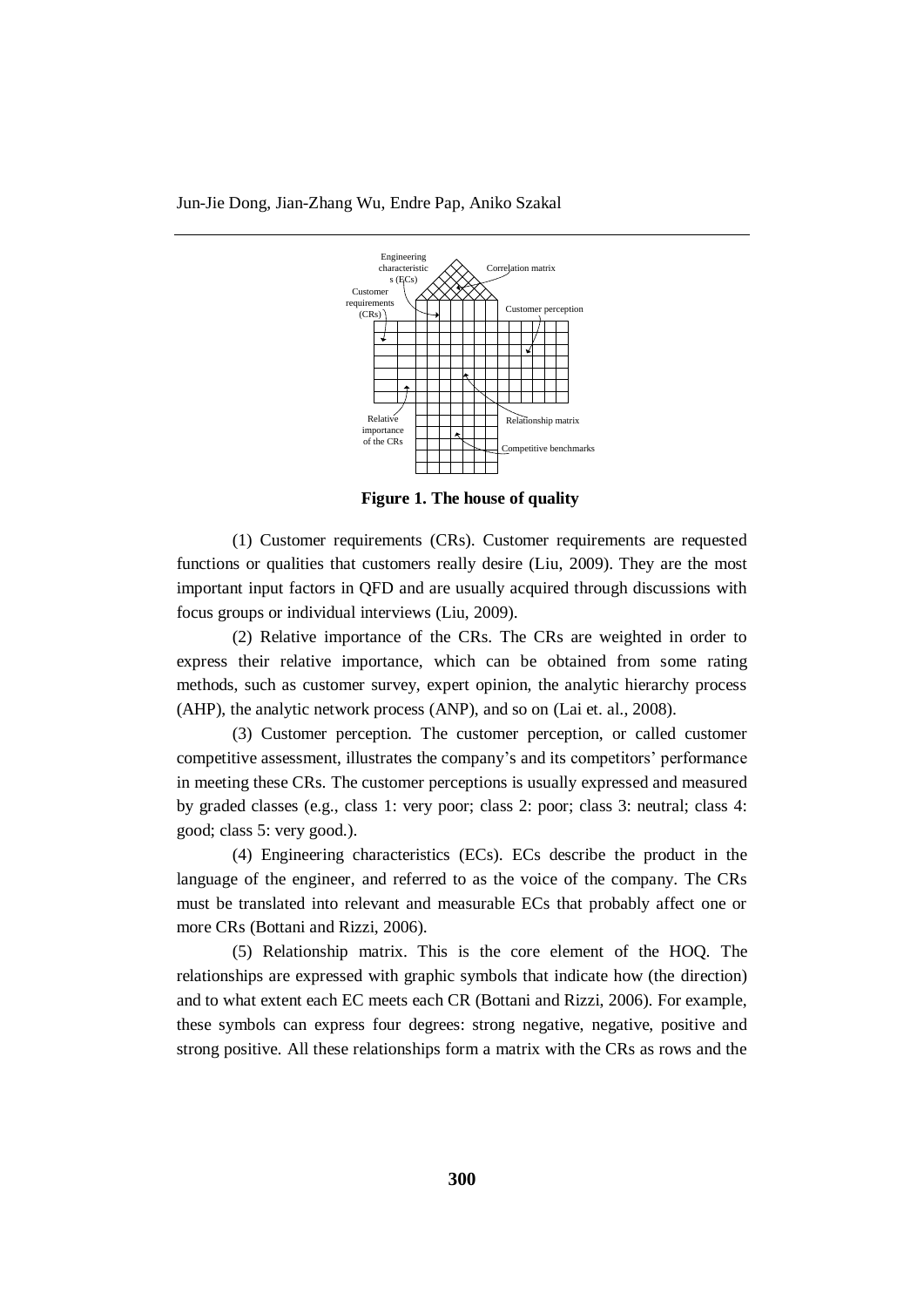

**Figure 1. The house of quality**

(1) Customer requirements (CRs). Customer requirements are requested functions or qualities that customers really desire (Liu, 2009). They are the most important input factors in QFD and are usually acquired through discussions with focus groups or individual interviews (Liu, 2009).

(2) Relative importance of the CRs. The CRs are weighted in order to express their relative importance, which can be obtained from some rating methods, such as customer survey, expert opinion, the analytic hierarchy process (AHP), the analytic network process (ANP), and so on (Lai et. al., 2008).

(3) Customer perception. The customer perception, or called customer competitive assessment, illustrates the company's and its competitors' performance in meeting these CRs. The customer perceptions is usually expressed and measured by graded classes (e.g., class 1: very poor; class 2: poor; class 3: neutral; class 4: good; class 5: very good.).

(4) Engineering characteristics (ECs). ECs describe the product in the language of the engineer, and referred to as the voice of the company. The CRs must be translated into relevant and measurable ECs that probably affect one or more CRs (Bottani and Rizzi, 2006).

(5) Relationship matrix. This is the core element of the HOQ. The relationships are expressed with graphic symbols that indicate how (the direction) and to what extent each EC meets each CR (Bottani and Rizzi, 2006). For example, these symbols can express four degrees: strong negative, negative, positive and strong positive. All these relationships form a matrix with the CRs as rows and the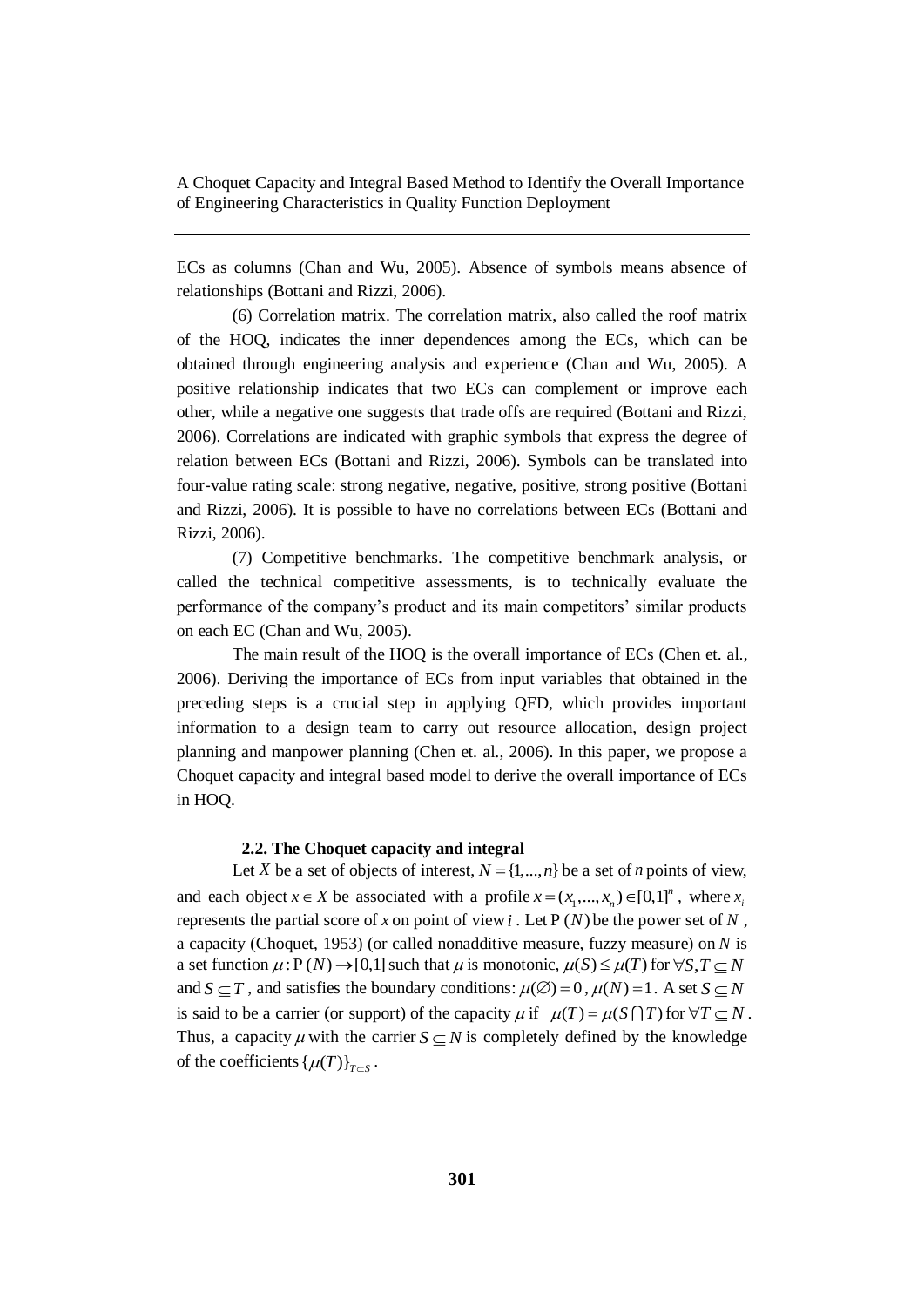ECs as columns (Chan and Wu, 2005). Absence of symbols means absence of relationships (Bottani and Rizzi, 2006).

(6) Correlation matrix. The correlation matrix, also called the roof matrix of the HOQ, indicates the inner dependences among the ECs, which can be obtained through engineering analysis and experience (Chan and Wu, 2005). A positive relationship indicates that two ECs can complement or improve each other, while a negative one suggests that trade offs are required (Bottani and Rizzi, 2006). Correlations are indicated with graphic symbols that express the degree of relation between ECs (Bottani and Rizzi, 2006). Symbols can be translated into four-value rating scale: strong negative, negative, positive, strong positive (Bottani and Rizzi, 2006). It is possible to have no correlations between ECs (Bottani and Rizzi, 2006).

(7) Competitive benchmarks. The competitive benchmark analysis, or called the technical competitive assessments, is to technically evaluate the performance of the company's product and its main competitors' similar products on each EC (Chan and Wu, 2005).

The main result of the HOQ is the overall importance of ECs (Chen et. al., 2006). Deriving the importance of ECs from input variables that obtained in the preceding steps is a crucial step in applying QFD, which provides important information to a design team to carry out resource allocation, design project planning and manpower planning (Chen et. al., 2006). In this paper, we propose a Choquet capacity and integral based model to derive the overall importance of ECs in HOQ.

# **2.2. The Choquet capacity and integral**

Let *X* be a set of objects of interest,  $N = \{1, ..., n\}$  be a set of *n* points of view, and each object  $x \in X$  be associated with a profile  $x = (x_1, ..., x_n) \in [0,1]^n$ , where  $x_i$ represents the partial score of x on point of view  $i$ . Let  $P(N)$  be the power set of  $N$ , a capacity (Choquet, 1953) (or called nonadditive measure, fuzzy measure) on *N* is a set function  $\mu$ :  $P(N) \rightarrow [0,1]$  such that  $\mu$  is monotonic,  $\mu(S) \leq \mu(T)$  for  $\forall S, T \subseteq N$ and  $S \subseteq T$ , and satisfies the boundary conditions:  $\mu(\emptyset) = 0$ ,  $\mu(N) = 1$ . A set  $S \subseteq N$ is said to be a carrier (or support) of the capacity  $\mu$  if  $\mu(T) = \mu(S \cap T)$  for  $\forall T \subseteq N$ . Thus, a capacity  $\mu$  with the carrier  $S \subseteq N$  is completely defined by the knowledge of the coefficients  $\{\mu(T)\}_{T \subseteq S}$ .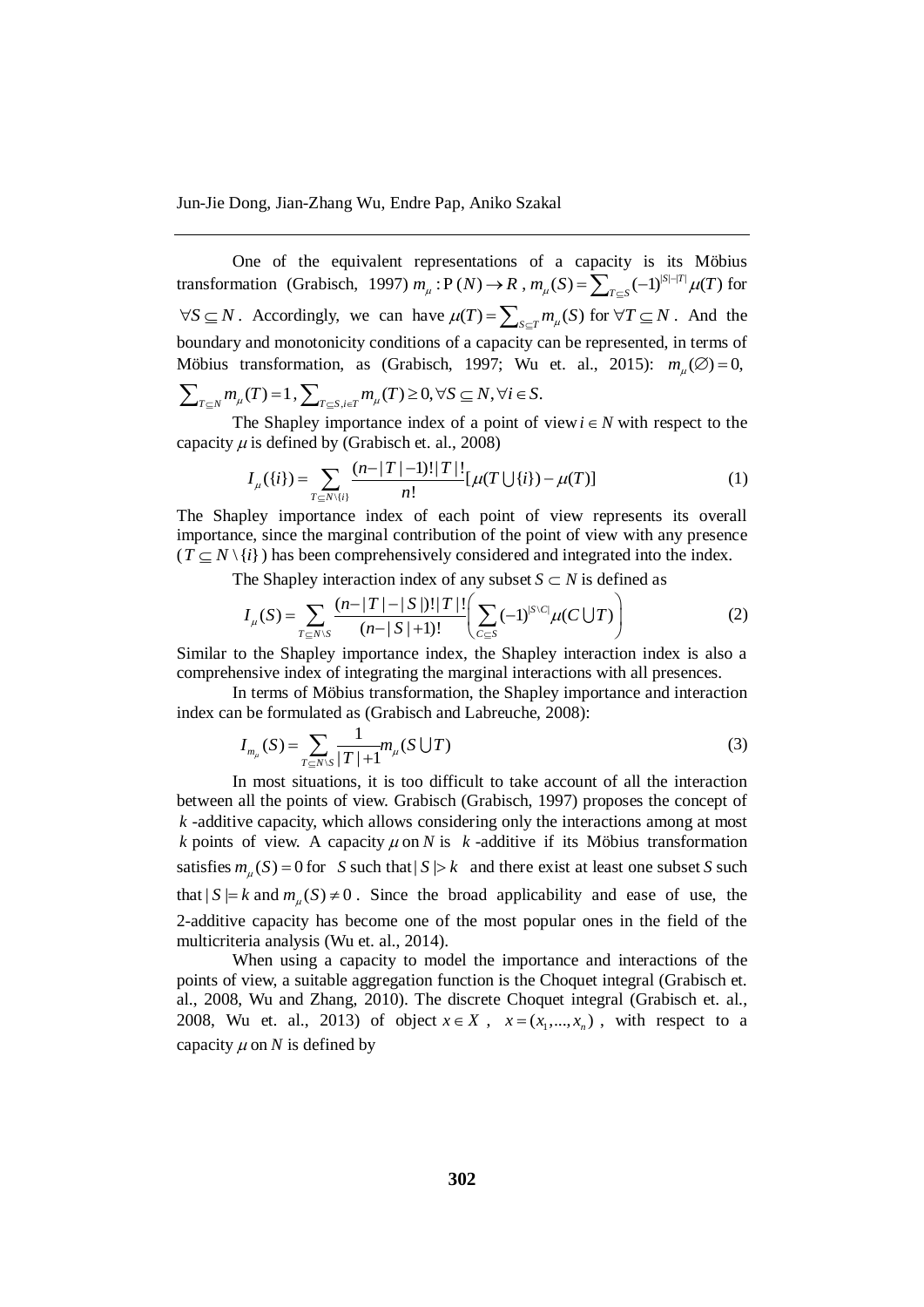One of the equivalent representations of a capacity is its Möbius transformation (Grabisch, 1997)  $m_{\mu} : P(N) \to R$ ,  $m_{\mu}(S) = \sum_{T \subseteq S} (-1)^{|S| - |T|} \mu(T)$  $=\sum_{T\subseteq S}(-1)^{|S|-|T|}\mu(T)$  for  $\forall S \subseteq N$ . Accordingly, we can have  $\mu(T) = \sum_{S \subseteq T} m_{\mu}(S)$  for  $\forall T \subseteq N$ . And the boundary and monotonicity conditions of a capacity can be represented, in terms of Möbius transformation, as (Grabisch, 1997; Wu et. al., 2015):  $m_\mu(\emptyset) = 0$ ,  $\sum_{T \subseteq N} m_{\mu}(T) = 1$ ,  $\sum_{T \subseteq S, i \in T} m_{\mu}(T) \ge 0$ ,  $\forall S \subseteq N$ ,  $\forall i \in S$ .

The Shapley importance index of a point of view  $i \in N$  with respect to the

capacity 
$$
\mu
$$
 is defined by (Grabisch et. al., 2008)  

$$
I_{\mu}(\{i\}) = \sum_{T \subseteq N\backslash \{i\}} \frac{(n-|T|-1)!|T|!}{n!} [\mu(T \cup \{i\}) - \mu(T)] \tag{1}
$$

The Shapley importance index of each point of view represents its overall importance, since the marginal contribution of the point of view with any presence  $(T \subseteq N \setminus \{i\})$  has been comprehensively considered and integrated into the index.

$$
\langle i \rangle
$$
) has been comprehensively considered and integrated into the index.  
The Shapley interaction index of any subset  $S \subset N$  is defined as  

$$
I_{\mu}(S) = \sum_{T \subseteq N \setminus S} \frac{(n-|T|-|S|)!|T|!}{(n-|S|+1)!} \left( \sum_{C \subseteq S} (-1)^{|S|C|} \mu(C \bigcup T) \right)
$$
(2)

Similar to the Shapley importance index, the Shapley interaction index is also a comprehensive index of integrating the marginal interactions with all presences.

In terms of Möbius transformation, the Shapley importance and interaction index can be formulated as (Grabisch and Labreuche, 2008):

$$
I_{m_{\mu}}(S) = \sum_{T \subseteq N \setminus S} \frac{1}{|T| + 1} m_{\mu}(S \cup T)
$$
 (3)

In most situations, it is too difficult to take account of all the interaction between all the points of view. Grabisch (Grabisch, 1997) proposes the concept of *k* -additive capacity, which allows considering only the interactions among at most *k* points of view. A capacity  $\mu$  on *N* is *k*-additive if its Möbius transformation satisfies  $m_{\mu}(S) = 0$  for *S* such that  $|S| > k$  and there exist at least one subset *S* such that  $|S| = k$  and  $m_{\mu}(S) \neq 0$ . Since the broad applicability and ease of use, the 2-additive capacity has become one of the most popular ones in the field of the multicriteria analysis (Wu et. al., 2014).

When using a capacity to model the importance and interactions of the points of view, a suitable aggregation function is the Choquet integral (Grabisch et. al., 2008, Wu and Zhang, 2010). The discrete Choquet integral (Grabisch et. al., 2008, Wu et. al., 2013) of object  $x \in X$ ,  $x = (x_1, \dots, x_n)$ , with respect to a capacity  $\mu$  on N is defined by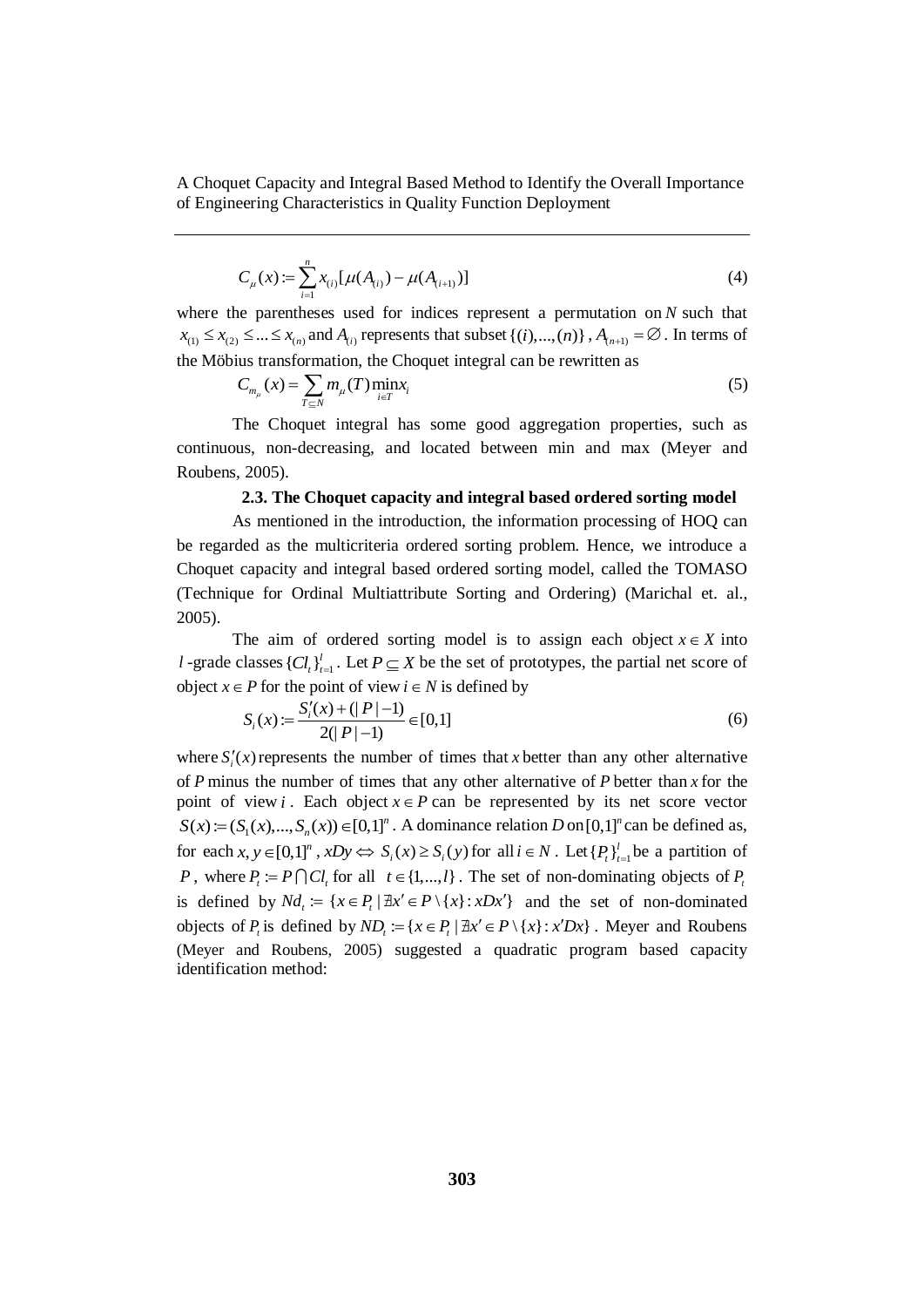$$
C_{\mu}(x) := \sum_{i=1}^{n} x_{(i)} [\mu(A_{(i)}) - \mu(A_{(i+1)})]
$$
\n(4)

where the parentheses used for indices represent a permutation on *N* such that  $x_{(1)} \le x_{(2)} \le ... \le x_{(n)}$  and  $A_{(i)}$  represents that subset  $\{(i), ..., (n)\}\,$ ,  $A_{(n+1)} = \emptyset$ . In terms of the Möbius transformation, the Choquet integral can be rewritten as

$$
C_{m_{\mu}}(x) = \sum_{T \subseteq N} m_{\mu}(T) \min_{i \in T} x_i
$$
 (5)

The Choquet integral has some good aggregation properties, such as continuous, non-decreasing, and located between min and max (Meyer and Roubens, 2005).

# **2.3. The Choquet capacity and integral based ordered sorting model**

As mentioned in the introduction, the information processing of HOQ can be regarded as the multicriteria ordered sorting problem. Hence, we introduce a Choquet capacity and integral based ordered sorting model, called the TOMASO (Technique for Ordinal Multiattribute Sorting and Ordering) (Marichal et. al., 2005).

The aim of ordered sorting model is to assign each object  $x \in X$  into *l* -grade classes  ${C_l}_t$ ,  ${l}_{t=1}$ . Let  $P \subseteq X$  be the set of prototypes, the partial net score of

object 
$$
x \in P
$$
 for the point of view  $i \in N$  is defined by  
\n
$$
S_i(x) := \frac{S_i'(x) + (||P|| - 1)}{2(|P| - 1)} \in [0,1]
$$
\n(6)

where  $S_i'(x)$  represents the number of times that *x* better than any other alternative of *P* minus the number of times that any other alternative of *P* better than *x* for the point of view *i*. Each object  $x \in P$  can be represented by its net score vector bond of view *t*. Each object  $x \in P$  can be represented by its liet score vector  $S(x) := (S_1(x),...,S_n(x)) \in [0,1]^n$ . A dominance relation  $D$  on  $[0,1]^n$  can be defined as, for each  $x, y \in [0,1]^n$ ,  $xDy \Leftrightarrow S_i(x) \ge S_i(y)$  for all  $i \in N$ . Let  $\{P_i\}_{i=1}^l$  be a partition of *P*, where  $P_t := P \cap Cl_t$  for all  $t \in \{1, ..., l\}$ . The set of non-dominating objects of  $P_t$ is defined by  $Nd_i := \{x \in P_i | \exists x' \in P \setminus \{x\} : xDx'\}$  and the set of non-dominated is defined by  $N a_i := \{ x \in P_i \mid \exists x \in P \setminus \{x\} : x D x \}$  and the set of non-dominated objects of  $P_i$  is defined by  $N D_i := \{ x \in P_i \mid \exists x' \in P \setminus \{x\} : x' D x \}$ . Meyer and Roubens (Meyer and Roubens, 2005) suggested a quadratic program based capacity identification method: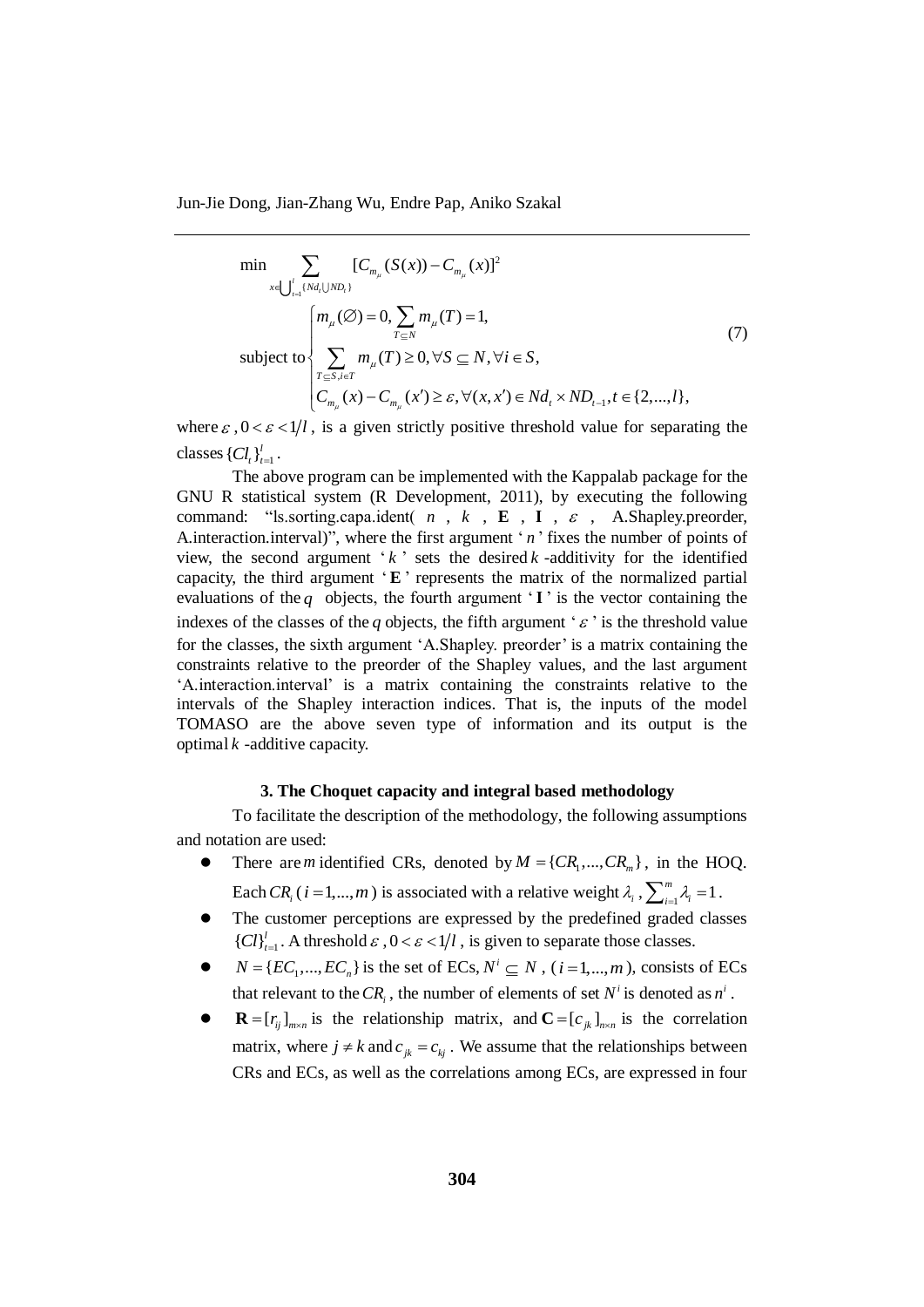$$
\min \sum_{x \in \bigcup_{i=1}^{l} {N d_i \cup N D_i}} [C_{m_{\mu}}(S(x)) - C_{m_{\mu}}(x)]^2
$$
\n
$$
\left\{\n\begin{aligned}\nm_{\mu}(\varnothing) &= 0, \sum_{T \subseteq N} m_{\mu}(T) = 1, \\
\sum_{T \subseteq S, i \in T} m_{\mu}(T) &\ge 0, \forall S \subseteq N, \forall i \in S, \\
C_{m_{\mu}}(x) - C_{m_{\mu}}(x') &\ge \varepsilon, \forall (x, x') \in N d_i \times N D_{t-1}, t \in \{2, \dots, l\},\n\end{aligned}\n\right.
$$
\n(7)

where  $\varepsilon$ ,  $0 < \varepsilon < 1/l$ , is a given strictly positive threshold value for separating the classes  ${C}l_t \}_{t=1}^l$ .

The above program can be implemented with the Kappalab package for the GNU R statistical system (R Development, 2011), by executing the following command: "Is sorting capa.ident( $n$ ,  $k$ ,  $\mathbf{E}$ ,  $\mathbf{I}$ ,  $\epsilon$ , A.Shapley.preorder, A.interaction.interval)", where the first argument '*n*' fixes the number of points of view, the second argument  $k$  sets the desired  $k$  -additivity for the identified capacity, the third argument 'E' represents the matrix of the normalized partial evaluations of the  $q$  objects, the fourth argument  $\mathbf{I}$  is the vector containing the indexes of the classes of the q objects, the fifth argument ' $\varepsilon$ ' is the threshold value for the classes, the sixth argument 'A.Shapley. preorder' is a matrix containing the constraints relative to the preorder of the Shapley values, and the last argument 'A.interaction.interval' is a matrix containing the constraints relative to the intervals of the Shapley interaction indices. That is, the inputs of the model TOMASO are the above seven type of information and its output is the optimal *k* -additive capacity.

# **3. The Choquet capacity and integral based methodology**

To facilitate the description of the methodology, the following assumptions and notation are used:

- There are *m* identified CRs, denoted by  $M = \{CR_1, ..., CR_m\}$ , in the HOQ. Each  $CR_i$  (*i* = 1,...,*m*) is associated with a relative weight  $\lambda_i$ ,  $\sum_{i=1}^{m} \lambda_i = 1$  $\sum_{i=1}^m \lambda_i = 1$ .
- The customer perceptions are expressed by the predefined graded classes  ${ [Cl]}_{t=1}^l$ . A threshold  $\varepsilon$ ,  $0 < \varepsilon < 1/l$ , is given to separate those classes.
- $\bullet$  $N = \{EC_1, ..., EC_n\}$  is the set of ECs,  $N^i \subseteq N$ ,  $(i = 1, ..., m)$ , consists of ECs that relevant to the  $CR_i$ , the number of elements of set  $N^i$  is denoted as  $n^i$ .
- $\bullet$  $\mathbf{R} = [r_{ij}]_{m \times n}$  is the relationship matrix, and  $\mathbf{C} = [c_{jk}]_{n \times n}$  is the correlation matrix, where  $j \neq k$  and  $c_{jk} = c_{kj}$ . We assume that the relationships between CRs and ECs, as well as the correlations among ECs, are expressed in four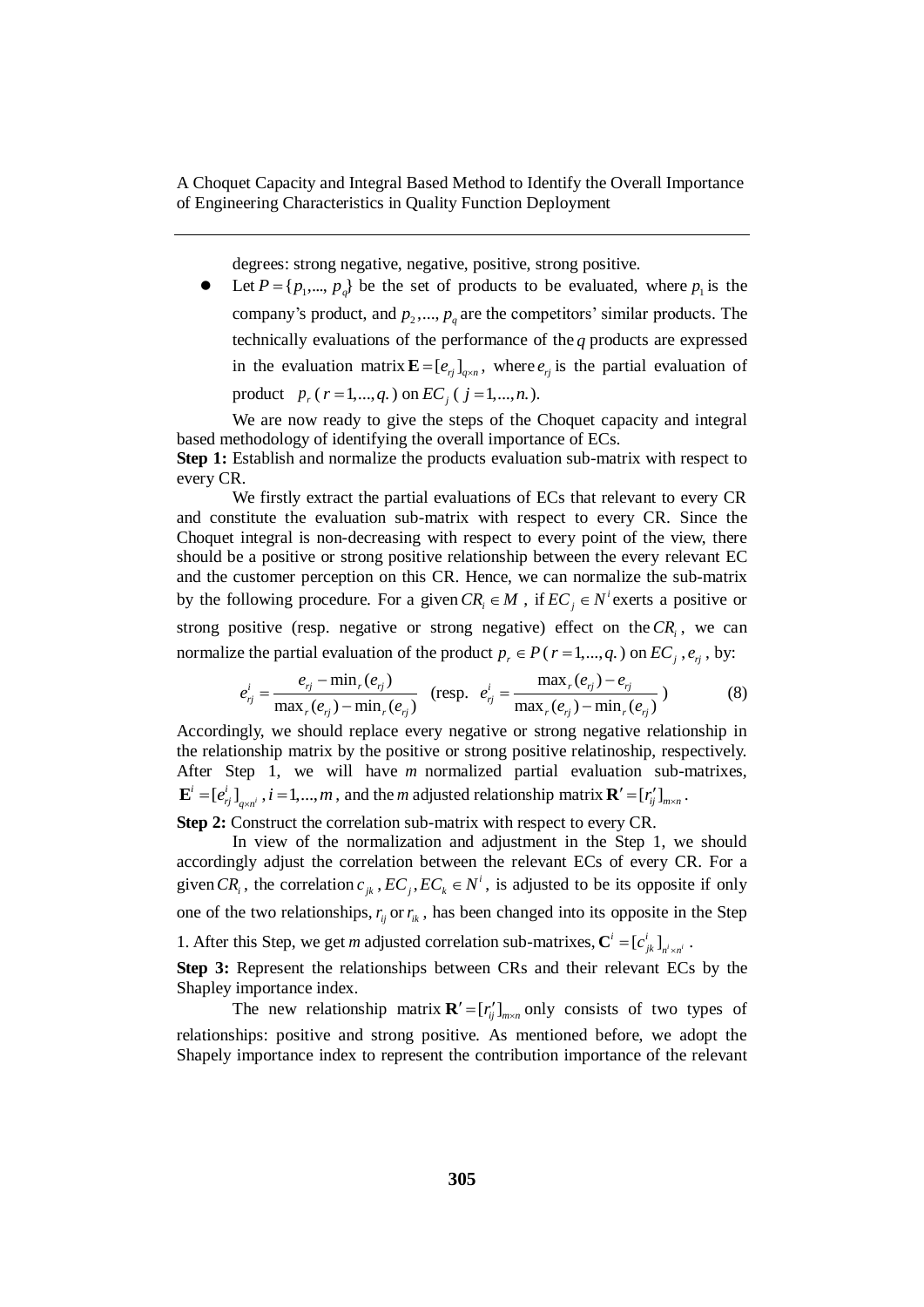degrees: strong negative, negative, positive, strong positive.

 $\bullet$  $P = \{p_1, ..., p_q\}$  be the set of products to be evaluated, where  $p_1$  is the company's product, and  $p_2, ..., p_q$  are the competitors' similar products. The technically evaluations of the performance of the *q* products are expressed in the evaluation matrix  $\mathbf{E} = [e_{rj}]_{q \times n}$ , where  $e_{rj}$  is the partial evaluation of product  $p_r$  ( $r = 1, ..., q$ .) on  $EC_j$  ( $j = 1, ..., n$ .).

We are now ready to give the steps of the Choquet capacity and integral based methodology of identifying the overall importance of ECs.

**Step 1:** Establish and normalize the products evaluation sub-matrix with respect to every CR.

We firstly extract the partial evaluations of ECs that relevant to every CR and constitute the evaluation sub-matrix with respect to every CR. Since the Choquet integral is non-decreasing with respect to every point of the view, there should be a positive or strong positive relationship between the every relevant EC and the customer perception on this CR. Hence, we can normalize the sub-matrix by the following procedure. For a given  $CR_i \in M$ , if  $EC_j \in N^i$  exerts a positive or strong positive (resp. negative or strong negative) effect on the  $CR<sub>i</sub>$ , we can normalize the partial evaluation of the product  $p_r \in P$  ( $r = 1, ..., q$ .) on  $EC_j$ ,  $e_{rj}$ , by:

$$
e_{ij}^i = \frac{e_{ij} - \min_r(e_{ij})}{\max_r(e_{ij}) - \min_r(e_{ij})} \quad (\text{resp.} \quad e_{ij}^i = \frac{\max_r(e_{ij}) - e_{ij}}{\max_r(e_{ij}) - \min_r(e_{ij})})
$$
(8)

Accordingly, we should replace every negative or strong negative relationship in the relationship matrix by the positive or strong positive relatinoship, respectively. After Step 1, we will have *m* normalized partial evaluation sub-matrixes,  $\mathbf{E}^i = [e^i_{ij}]_{q \times n^i}$ ,  $i = 1,...,m$ , and the *m* adjusted relationship matrix  $\mathbf{R}' = [r'_i]_{m \times n}$ .

**Step 2:** Construct the correlation sub-matrix with respect to every CR.

In view of the normalization and adjustment in the Step 1, we should accordingly adjust the correlation between the relevant ECs of every CR. For a given  $CR_i$ , the correlation  $c_{jk}$ ,  $EC_j$ ,  $EC_k \in N^i$ , is adjusted to be its opposite if only one of the two relationships,  $r_{ij}$  or  $r_{ik}$ , has been changed into its opposite in the Step 1. After this Step, we get *m* adjusted correlation sub-matrixes,  $\mathbf{C}^i = [c^i_{jk}]_{n^i \times n^i}$ .

**Step 3:** Represent the relationships between CRs and their relevant ECs by the Shapley importance index.

The new relationship matrix  $\mathbf{R}' = [r'_{ij}]_{m \times n}$  only consists of two types of relationships: positive and strong positive. As mentioned before, we adopt the Shapely importance index to represent the contribution importance of the relevant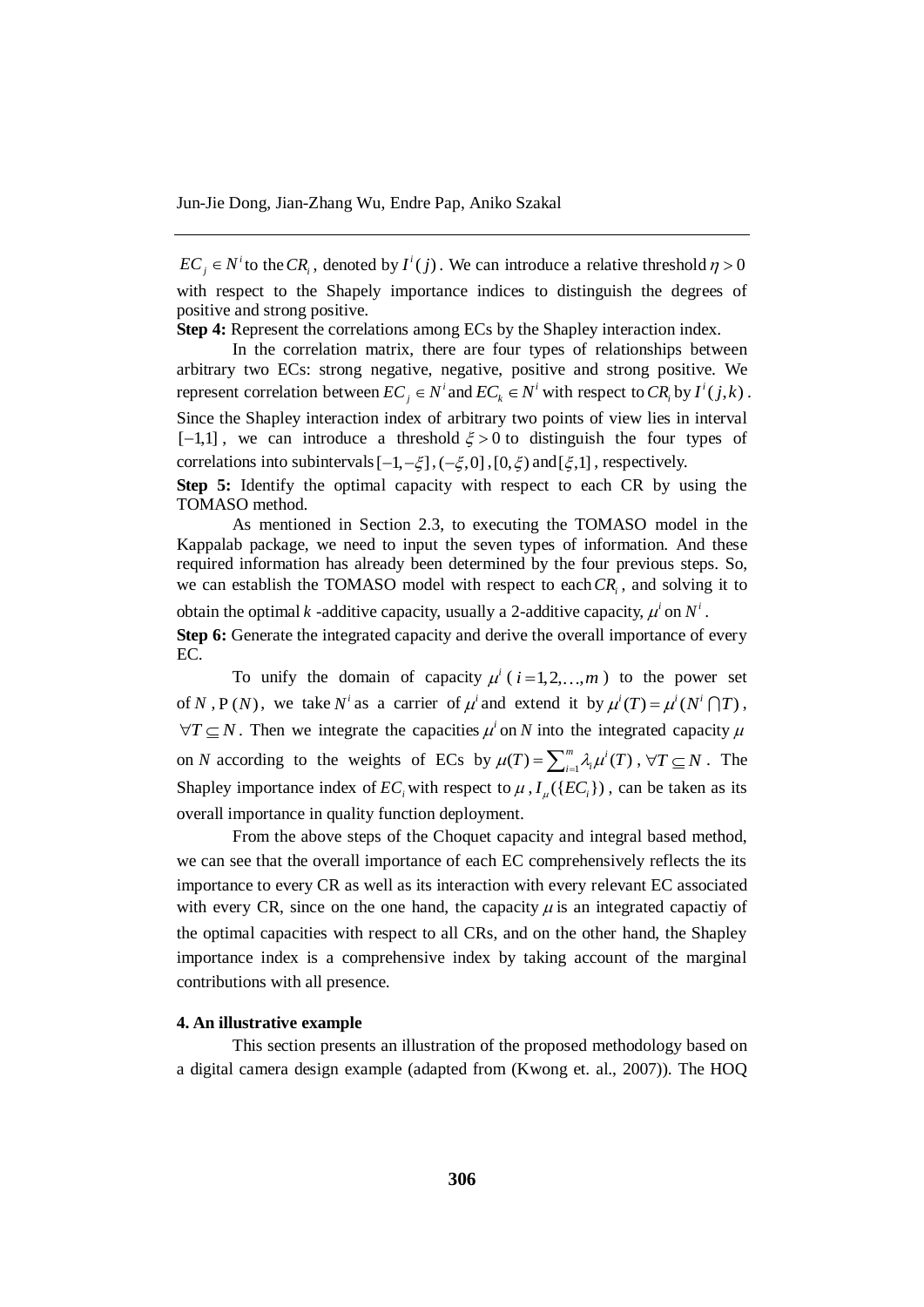$\mathbb{E}C_j \in N^i$  to the  $CR_i$ , denoted by  $I^i(j)$ . We can introduce a relative threshold  $\eta > 0$ with respect to the Shapely importance indices to distinguish the degrees of positive and strong positive.

**Step 4:** Represent the correlations among ECs by the Shapley interaction index.

In the correlation matrix, there are four types of relationships between arbitrary two ECs: strong negative, negative, positive and strong positive. We represent correlation between  $EC_j \in N^i$  and  $EC_k \in N^i$  with respect to  $CR_i$  by  $I^i(j,k)$ . Since the Shapley interaction index of arbitrary two points of view lies in interval  $[-1,1]$ , we can introduce a threshold  $\xi > 0$  to distinguish the four types of correlations into subintervals  $[-1, -\xi]$ ,  $(-\xi, 0]$ ,  $[0, \xi)$  and  $[\xi, 1]$ , respectively.

**Step 5:** Identify the optimal capacity with respect to each CR by using the TOMASO method.

As mentioned in Section 2.3, to executing the TOMASO model in the Kappalab package, we need to input the seven types of information. And these required information has already been determined by the four previous steps. So, we can establish the TOMASO model with respect to each *CR<sup>i</sup>* , and solving it to obtain the optimal k -additive capacity, usually a 2-additive capacity,  $\mu^i$  on  $N^i$ . **Step 6:** Generate the integrated capacity and derive the overall importance of every EC.

To unify the domain of capacity  $\mu^i$  ( $i=1,2,...,m$ ) to the power set of N, P(N), we take N<sup>*i*</sup> as a carrier of  $\mu^i$  and extend it by  $\mu^i(T) = \mu^i(N^i \cap T)$ ,  $\forall T \subseteq N$ . Then we integrate the capacities  $\mu^i$  on N into the integrated capacity  $\mu$ on *N* according to the weights of ECs by  $\mu(T) = \sum_{i=1}^{m} \lambda_i \mu^i(T)$ ,  $\forall T \subseteq N$ . The Shapley importance index of  $EC_i$  with respect to  $\mu$ ,  $I_\mu({EC_i})$ , can be taken as its overall importance in quality function deployment.

From the above steps of the Choquet capacity and integral based method, we can see that the overall importance of each EC comprehensively reflects the its importance to every CR as well as its interaction with every relevant EC associated with every CR, since on the one hand, the capacity  $\mu$  is an integrated capactiy of the optimal capacities with respect to all CRs, and on the other hand, the Shapley importance index is a comprehensive index by taking account of the marginal contributions with all presence.

#### **4. An illustrative example**

This section presents an illustration of the proposed methodology based on a digital camera design example (adapted from (Kwong et. al., 2007)). The HOQ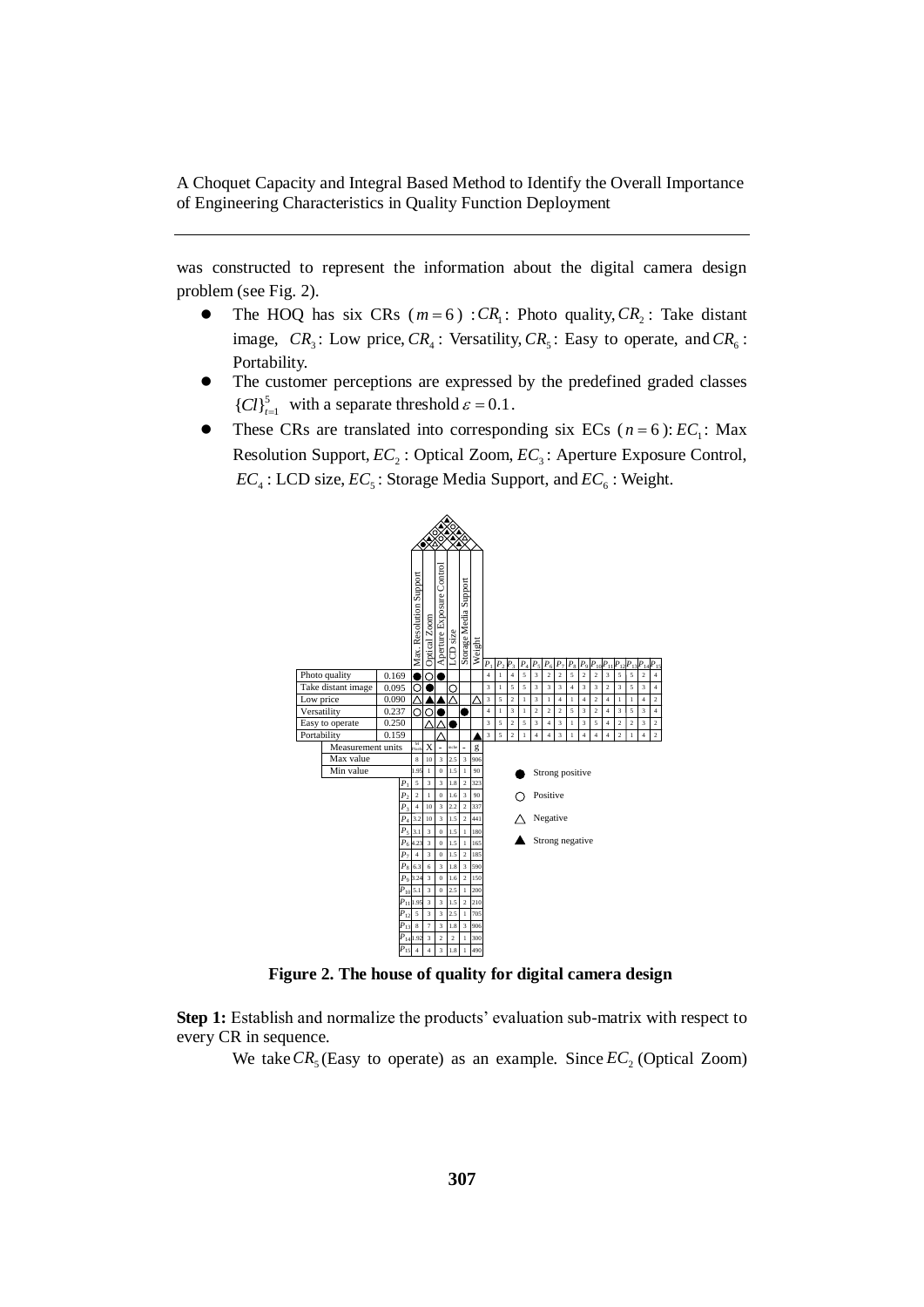was constructed to represent the information about the digital camera design problem (see Fig. 2).

- The HOQ has six CRs  $(m=6)$ :  $CR_1$ : Photo quality,  $CR_2$ : Take distant image,  $CR_3$ : Low price,  $CR_4$ : Versatility,  $CR_5$ : Easy to operate, and  $CR_6$ : Portability.
- The customer perceptions are expressed by the predefined graded classes  ${C}l_{t=1}^{5}$  with a separate threshold  $\varepsilon = 0.1$ .
- These CRs are translated into corresponding six ECs ( $n = 6$ ):  $EC_1$ : Max Resolution Support,  $EC_2$ : Optical Zoom,  $EC_3$ : Aperture Exposure Control,  $EC_4$ : LCD size,  $EC_5$ : Storage Media Support, and  $EC_6$ : Weight.



**Figure 2. The house of quality for digital camera design**

**Step 1:** Establish and normalize the products' evaluation sub-matrix with respect to every CR in sequence.

We take  $CR_5$  (Easy to operate) as an example. Since  $EC_2$  (Optical Zoom)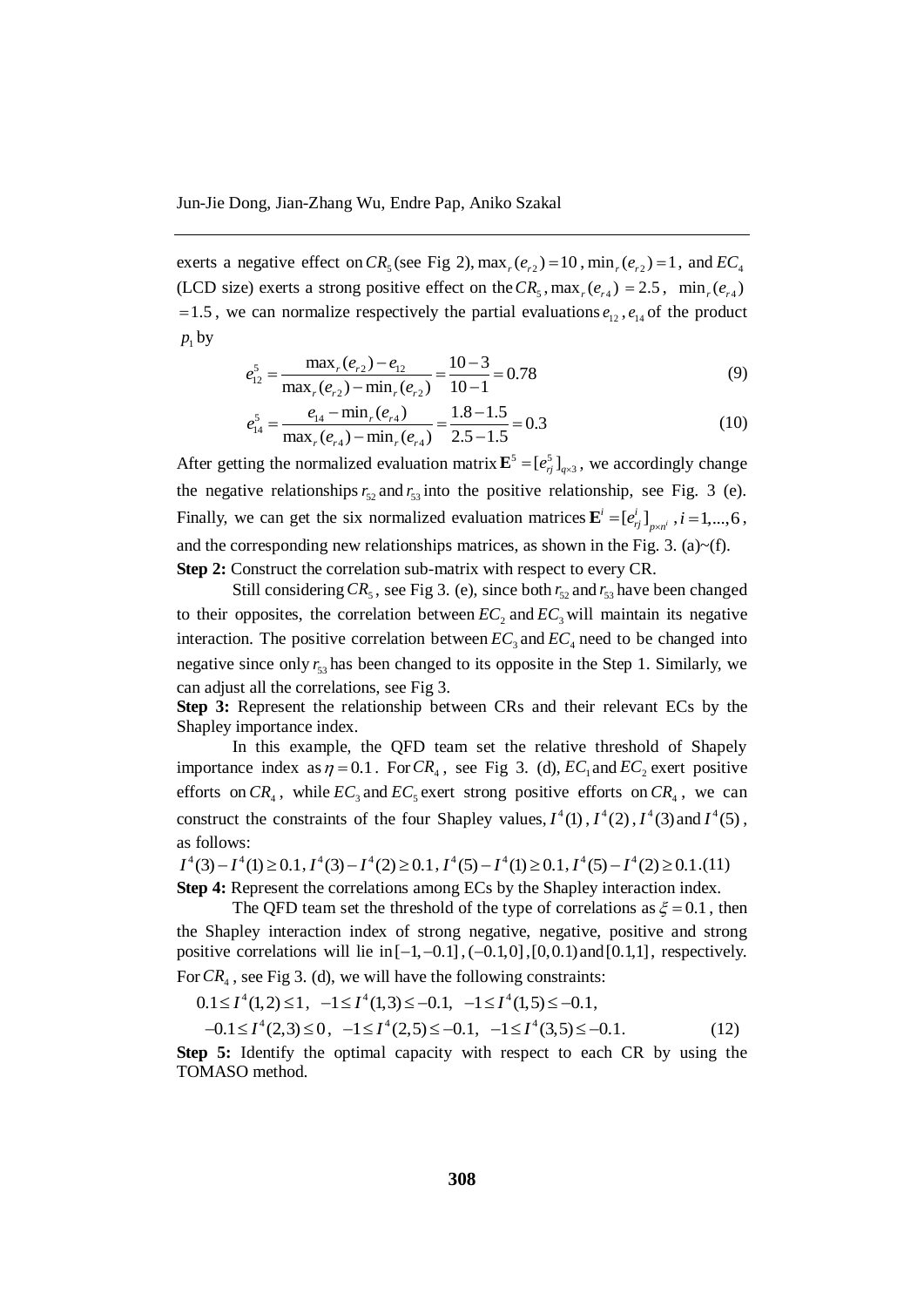exerts a negative effect on  $CR_5$  (see Fig 2),  $max_r(e_{r2}) = 10$ ,  $min_r(e_{r2}) = 1$ , and  $EC_4$ (LCD size) exerts a strong positive effect on the  $CR_5$ ,  $max_r(e_{r4}) = 2.5$ ,  $min_r(e_{r4})$  $= 1.5$ , we can normalize respectively the partial evaluations  $e_{12}$ ,  $e_{14}$  of the product  $p_1$  by

$$
e_{12}^{5} = \frac{\max_{r} (e_{r2}) - e_{12}}{\max_{r} (e_{r2}) - \min_{r} (e_{r2})} = \frac{10 - 3}{10 - 1} = 0.78
$$
\n(9)

$$
\max_{e_{14}^5} (e_{r_2}) - \min_{e_{14}} (e_{r_2}) \quad 10 - 1
$$
  

$$
e_{14}^5 = \frac{e_{14} - \min_{e_{14}} (e_{r_4})}{\max_{e_{14}} (e_{r_4}) - \min_{e_{14}} (e_{r_4})} = \frac{1.8 - 1.5}{2.5 - 1.5} = 0.3
$$
 (10)

After getting the normalized evaluation matrix  $\mathbf{E}^5 = [e_{ij}^5]_{q \times 3}$ , we accordingly change the negative relationships  $r_{52}$  and  $r_{53}$  into the positive relationship, see Fig. 3 (e). Finally, we can get the six normalized evaluation matrices  $\mathbf{E}^i = [e^i_{ij}]_{p \times n^i}$ ,  $i = 1,...,6$ , and the corresponding new relationships matrices, as shown in the Fig. 3. (a) $\sim$ (f). **Step 2:** Construct the correlation sub-matrix with respect to every CR.

Still considering  $CR_5$ , see Fig 3. (e), since both  $r_{52}$  and  $r_{53}$  have been changed to their opposites, the correlation between  $EC_2$  and  $EC_3$  will maintain its negative interaction. The positive correlation between  $EC_3$  and  $EC_4$  need to be changed into negative since only  $r_{53}$  has been changed to its opposite in the Step 1. Similarly, we can adjust all the correlations, see Fig 3.

**Step 3:** Represent the relationship between CRs and their relevant ECs by the Shapley importance index.

In this example, the QFD team set the relative threshold of Shapely importance index as  $\eta = 0.1$ . For  $CR_4$ , see Fig 3. (d),  $EC_1$  and  $EC_2$  exert positive efforts on  $CR_4$ , while  $EC_3$  and  $EC_5$  exert strong positive efforts on  $CR_4$ , we can construct the constraints of the four Shapley values,  $I^4(1)$ ,  $I^4(2)$ ,  $I^4(3)$  and  $I^4(5)$ , as follows:

 $I^4(3) - I^4(1) \ge 0.1$ ,  $I^4(3) - I^4(2) \ge 0.1$ ,  $I^4(5) - I^4(1) \ge 0.1$ ,  $I^4(5) - I^4(2) \ge 0.1$ .(11) **Step 4:** Represent the correlations among ECs by the Shapley interaction index.

The QFD team set the threshold of the type of correlations as  $\xi = 0.1$ , then the Shapley interaction index of strong negative, negative, positive and strong positive correlations will lie in  $[-1, -0.1]$ ,  $(-0.1, 0]$ ,  $[0, 0.1)$  and  $[0.1, 1]$ , respectively. For  $CR_4$ , see Fig 3. (d), we will have the following constraints:

$$
0.1 \le I^4(1,2) \le 1, \ -1 \le I^4(1,3) \le -0.1, \ -1 \le I^4(1,5) \le -0.1, -0.1 \le I^4(2,3) \le 0, \ -1 \le I^4(2,5) \le -0.1, \ -1 \le I^4(3,5) \le -0.1.
$$
 (12)

**Step 5:** Identify the optimal capacity with respect to each CR by using the TOMASO method.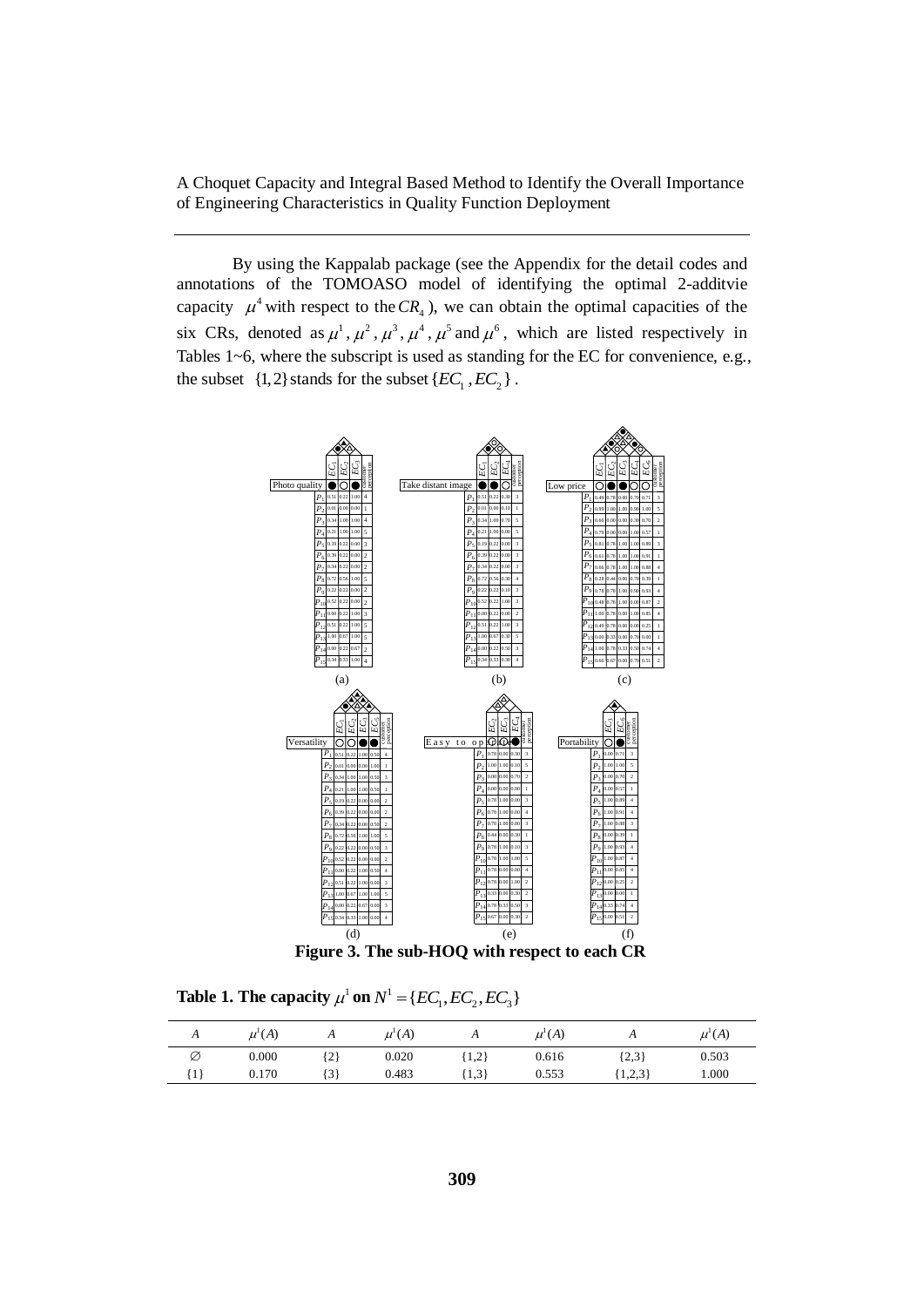By using the Kappalab package (see the Appendix for the detail codes and annotations of the TOMOASO model of identifying the optimal 2-additvie capacity  $\mu^4$  with respect to the  $CR_4$ ), we can obtain the optimal capacities of the six CRs, denoted as  $\mu^1$ ,  $\mu^2$ ,  $\mu^3$ ,  $\mu^4$ ,  $\mu^5$  and  $\mu^6$ , which are listed respectively in Tables 1~6, where the subscript is used as standing for the EC for convenience, e.g., the subset  $\{1, 2\}$  stands for the subset  $\{EC_1, EC_2\}$ .



**Table 1. The capacity**  $\mu^1$  on  $N^1 = \{EC_1, EC_2, EC_3\}$ 

| A                        | $\mu^{\text{\tiny{l}}}(A)$ | $\mathbf{u}$ | $\mu^{\text{I}}(A)$ | $\mathbf{u}$ | $\mu^{\text{I}}(A)$ | $\overline{1}$ | $\mu^{\text{\tiny{l}}}(A)$ |
|--------------------------|----------------------------|--------------|---------------------|--------------|---------------------|----------------|----------------------------|
| Ø                        | 0.000                      | $\{2\}$      | 0.020               | 1,2          | 0.616               | ${2,3}$        | 0.503                      |
| $\overline{\phantom{a}}$ | 0.170                      | .31          | 0.483               | [1,3]        | 0.553               | 1,2,3          | 000.1                      |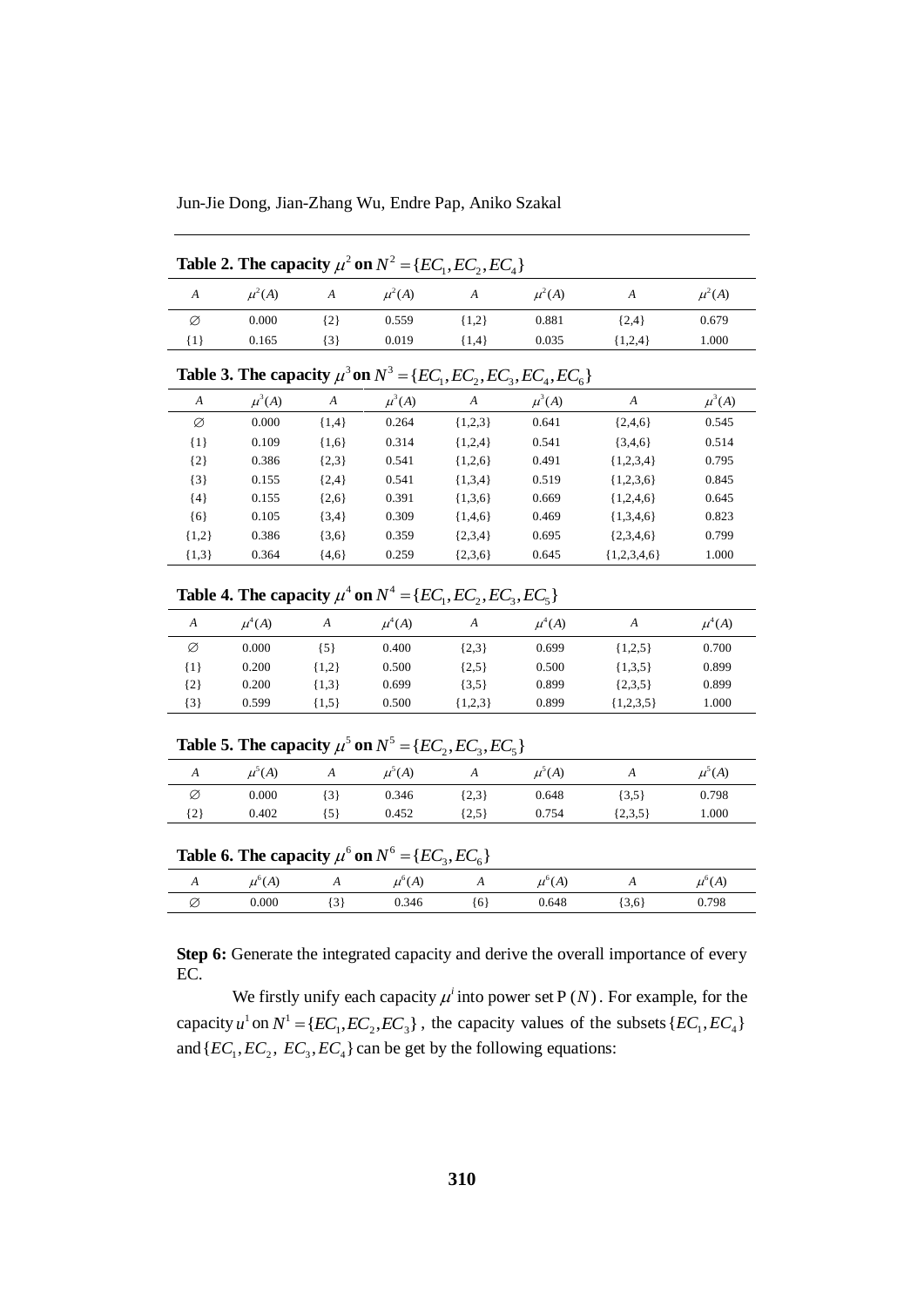Jun-Jie Dong, Jian-Zhang Wu, Endre Pap, Aniko Szakal

|                  | Table 2. The capacity $\mu^2$ on $N^2 = \{EC_1, EC_2, EC_4\}$ |                  |            |                                                                           |            |                  |            |  |  |
|------------------|---------------------------------------------------------------|------------------|------------|---------------------------------------------------------------------------|------------|------------------|------------|--|--|
| $\overline{A}$   | $\mu^2(A)$                                                    | $\boldsymbol{A}$ | $\mu^2(A)$ | $\boldsymbol{A}$                                                          | $\mu^2(A)$ | A                | $\mu^2(A)$ |  |  |
| Ø                | 0.000                                                         | ${2}$            | 0.559      | ${1,2}$                                                                   | 0.881      | ${2,4}$          | 0.679      |  |  |
| ${1}$            | 0.165                                                         | $\{3\}$          | 0.019      | ${1,4}$                                                                   | 0.035      | ${1,2,4}$        | 1.000      |  |  |
|                  |                                                               |                  |            | Table 3. The capacity $\mu^3$ on $N^3 = \{EC_1, EC_2, EC_3, EC_4, EC_6\}$ |            |                  |            |  |  |
| $\boldsymbol{A}$ | $\mu^3(A)$                                                    | A                | $\mu^3(A)$ | A                                                                         | $\mu^3(A)$ | $\boldsymbol{A}$ | $\mu^3(A)$ |  |  |
| Ø                | 0.000                                                         | ${1,4}$          | 0.264      | ${1,2,3}$                                                                 | 0.641      | ${2,4,6}$        | 0.545      |  |  |
| $\{1\}$          | 0.109                                                         | ${1,6}$          | 0.314      | ${1,2,4}$                                                                 | 0.541      | $\{3,4,6\}$      | 0.514      |  |  |
| ${2}$            | 0.386                                                         | $\{2,3\}$        | 0.541      | ${1,2,6}$                                                                 | 0.491      | ${1,2,3,4}$      | 0.795      |  |  |
| $\{3\}$          | 0.155                                                         | ${2,4}$          | 0.541      | ${1,3,4}$                                                                 | 0.519      | ${1,2,3,6}$      | 0.845      |  |  |
| ${4}$            | 0.155                                                         | ${2,6}$          | 0.391      | ${1,3,6}$                                                                 | 0.669      | ${1,2,4,6}$      | 0.645      |  |  |
| $\{6\}$          | 0.105                                                         | $\{3,4\}$        | 0.309      | ${1,4,6}$                                                                 | 0.469      | ${1,3,4,6}$      | 0.823      |  |  |
| ${1,2}$          | 0.386                                                         | $\{3,6\}$        | 0.359      | $\{2,3,4\}$                                                               | 0.695      | $\{2,3,4,6\}$    | 0.799      |  |  |
| ${1,3}$          | 0.364                                                         | ${4,6}$          | 0.259      | $\{2,3,6\}$                                                               | 0.645      | $\{1,2,3,4,6\}$  | 1.000      |  |  |

**Table 4. The capacity**  $\mu^4$  on  $N^4 = \{EC_1, EC_2, EC_3, EC_5\}$ 

|         |            | $\ddot{\phantom{1}}$ |            | $\overline{\phantom{a}}$<br>$\mathcal{L}$ | $\mathcal{L}$<br>$\mathcal{L}$ |             |            |
|---------|------------|----------------------|------------|-------------------------------------------|--------------------------------|-------------|------------|
| A       | $\mu^4(A)$ | A                    | $\mu^4(A)$ | A                                         | $\mu^4(A)$                     | A           | $\mu^4(A)$ |
| Ø       | 0.000      | {5}                  | 0.400      | ${2,3}$                                   | 0.699                          | ${1,2,5}$   | 0.700      |
| {1}     | 0.200      | ${1,2}$              | 0.500      | ${2,5}$                                   | 0.500                          | ${1,3,5}$   | 0.899      |
| ${2}$   | 0.200      | ${1,3}$              | 0.699      | $\{3,5\}$                                 | 0.899                          | ${2,3,5}$   | 0.899      |
| $\{3\}$ | 0.599      | ${1,5}$              | 0.500      | ${1,2,3}$                                 | 0.899                          | ${1,2,3,5}$ | 1.000      |

# **Table 5. The capacity**  $\mu^5$  on  $N^5 = \{EC_2, EC_3, EC_5\}$

| $\mathbf{L}$ | $\mu^{\mathcal{P}}(A)$ | $\mathbf{L}$ | (A)<br>$\mu$ | $\overline{1}$ | $\mu^{\mathcal{S}}(A)$ | $\overline{1}$ | $\mu^{\scriptscriptstyle{>}}(A)$ |
|--------------|------------------------|--------------|--------------|----------------|------------------------|----------------|----------------------------------|
| Ø            | 0.000                  | ' گ          | 0.346        | ${2,3}$        | 0.648                  | $\{3,5\}$      | 0.798                            |
| {2}          | 0.402                  | .5)          | 0.452        | 2,5            | 0.754                  | $\{2,3,5\}$    | 000.1                            |

| Table 6. The capacity $\mu^6$ on $N^6 = \{EC_3, EC_6\}$ |  |  |  |  |
|---------------------------------------------------------|--|--|--|--|
|---------------------------------------------------------|--|--|--|--|

|                          | $\overline{\phantom{0}}$ | - -                      | $\sim$<br>-               | $\mathbf{v}$   |                     |                          |              |
|--------------------------|--------------------------|--------------------------|---------------------------|----------------|---------------------|--------------------------|--------------|
| $\overline{\phantom{a}}$ | (A)<br>u                 | $\overline{\phantom{a}}$ | (A)<br>$\mu^{0}$<br>$\mu$ | $\overline{1}$ | . .<br>(A)<br>$\mu$ | $\overline{\phantom{a}}$ | (A)<br>$\mu$ |
| ∼<br>Ø                   | 0.000                    | $\sim$<br>Ć              | 0.346                     | (6)            | 0.648               | 3,6                      | 0.798        |

**Step 6:** Generate the integrated capacity and derive the overall importance of every EC.

We firstly unify each capacity  $\mu^i$  into power set P(N). For example, for the capacity  $u^1$  on  $N^1 = \{EC_1, EC_2, EC_3\}$ , the capacity values of the subsets  $\{EC_1, EC_4\}$ and  $\{EC_1, EC_2, EC_3, EC_4\}$  can be get by the following equations: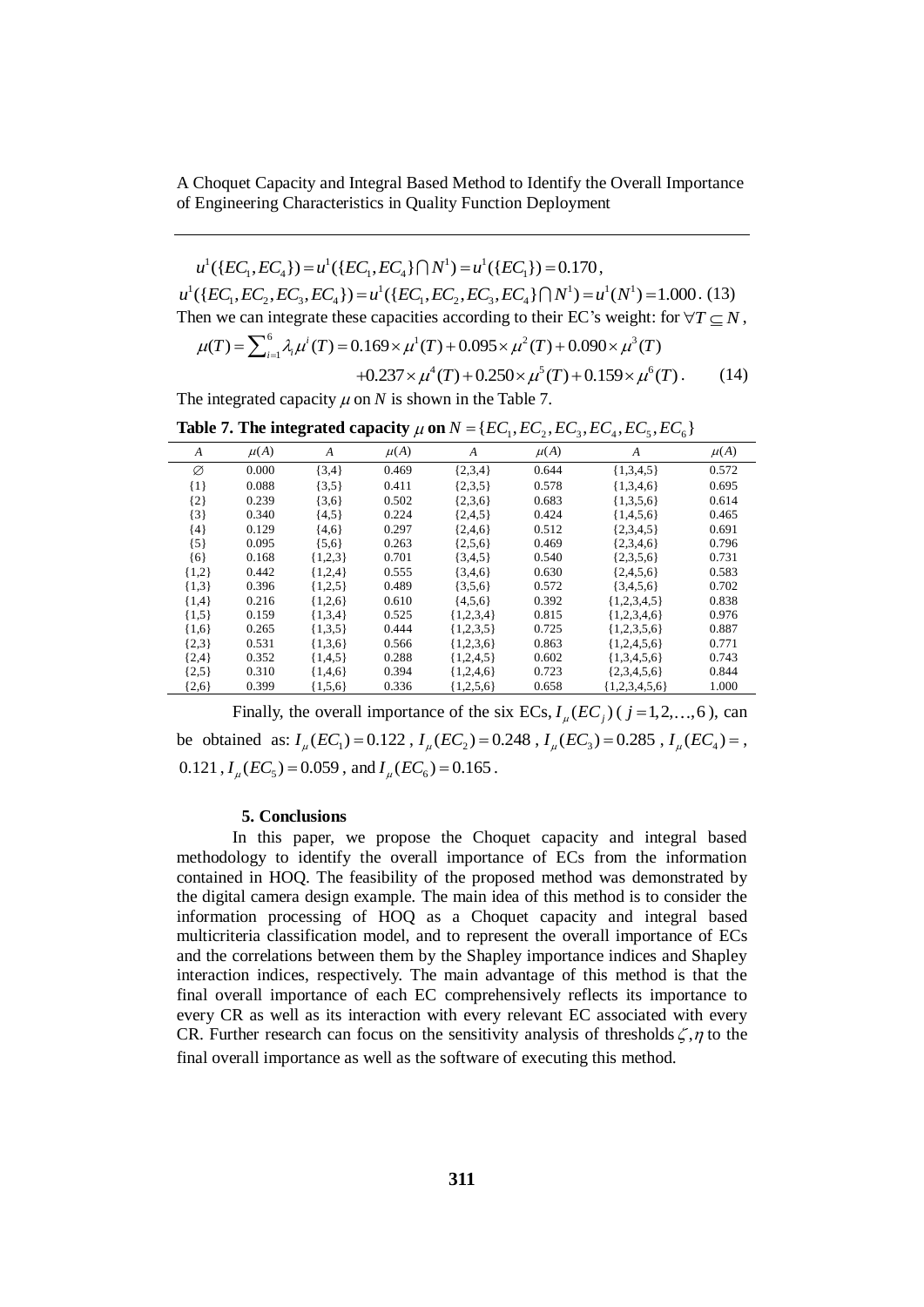$u^1(\{EC_1, EC_2\}) = u^1(\{EC_1, EC_2\} \cap N^1) = u^1$  $u^1({{EC_1, EC_4}}) = u^1({{EC_1, EC_4}}) \cap N^1 = u^1({{EC_1}}) = 0.170,$  $u^1(\lbrace EC_1, EC_4 \rbrace) = u^1(\lbrace EC_1, EC_4 \rbrace \cap N^1) = u^1(\lbrace EC_1 \rbrace) = 0.170,$ <br> $u^1(\lbrace EC_1, EC_2, EC_3, EC_4 \rbrace) = u^1(\lbrace EC_1, EC_2, EC_3, EC_4 \rbrace \cap N^1) = u^1(N^1)$  $u^1(\{EC_1, EC_4\}) = u^1(\{EC_1, EC_4\} \cap N^1) = u^1(\{EC_1\}) = 0.170,$ <br>  $u^1(\{EC_1, EC_2, EC_3, EC_4\}) = u^1(\{EC_1, EC_2, EC_3, EC_4\} \cap N^1) = u^1(N^1) = 1.000$ . (13) Then we can integrate these capacities according to their EC's weight: for  $\forall T \subseteq N$ ,<br>  $\mu(T) = \sum_{i=1}^{6} \lambda_i \mu^{i}(T) = 0.169 \times \mu^{1}(T) + 0.095 \times \mu^{2}(T) + 0.090 \times \mu^{3}(T)$  $(EC_1, EC_2, EC_3, EC_4)$  =  $u^*(\{EC_1, EC_2, EC_3, EC_4\} | N^*) = u^*(N^*) = 1.000$ <br>
en we can integrate these capacities according to their EC's weight: for  $\forall$ <br>  $\mu(T) = \sum_{i=1}^{6} \lambda_i \mu^i(T) = 0.169 \times \mu^1(T) + 0.095 \times \mu^2(T) + 0.090 \times \mu^3(T)$ 

$$
\mu(T) = \sum_{i=1}^{6} \lambda_i \mu^i(T) = 0.169 \times \mu^1(T) + 0.095 \times \mu^2(T) + 0.090 \times \mu^3(T)
$$
  
+0.237 ×  $\mu^4(T) + 0.250 \times \mu^5(T) + 0.159 \times \mu^6(T)$ . (14)

The integrated capacity  $\mu$  on  $N$  is shown in the Table 7.

| The integrated expansive $\mu$ on $\tau$ to shown in the radie $\tau$ .                |  |
|----------------------------------------------------------------------------------------|--|
| Table 7. The integrated capacity $\mu$ on $N = \{EC_1, EC_2, EC_3, EC_4, EC_5, EC_6\}$ |  |

|         |          |           |          | . .         | . .<br>$\cdot$ . | $\cdot$ .       | $\mathbf{U}$ |
|---------|----------|-----------|----------|-------------|------------------|-----------------|--------------|
| A       | $\mu(A)$ | A         | $\mu(A)$ | A           | $\mu(A)$         | A               | $\mu(A)$     |
| Ø       | 0.000    | ${3,4}$   | 0.469    | ${2,3,4}$   | 0.644            | ${1,3,4,5}$     | 0.572        |
| $\{1\}$ | 0.088    | $\{3,5\}$ | 0.411    | $\{2,3,5\}$ | 0.578            | ${1,3,4,6}$     | 0.695        |
| ${2}$   | 0.239    | $\{3,6\}$ | 0.502    | ${2,3,6}$   | 0.683            | ${1,3,5,6}$     | 0.614        |
| ${3}$   | 0.340    | ${4,5}$   | 0.224    | ${2,4,5}$   | 0.424            | ${1,4,5,6}$     | 0.465        |
| ${4}$   | 0.129    | ${4,6}$   | 0.297    | ${2,4,6}$   | 0.512            | ${2,3,4,5}$     | 0.691        |
| ${5}$   | 0.095    | ${5,6}$   | 0.263    | $\{2,5,6\}$ | 0.469            | ${2,3,4,6}$     | 0.796        |
| ${6}$   | 0.168    | ${1,2,3}$ | 0.701    | $\{3,4,5\}$ | 0.540            | $\{2,3,5,6\}$   | 0.731        |
| ${1,2}$ | 0.442    | ${1,2,4}$ | 0.555    | $\{3,4,6\}$ | 0.630            | ${2,4,5,6}$     | 0.583        |
| ${1,3}$ | 0.396    | ${1,2,5}$ | 0.489    | $\{3,5,6\}$ | 0.572            | $\{3,4,5,6\}$   | 0.702        |
| ${1,4}$ | 0.216    | ${1,2,6}$ | 0.610    | ${4,5,6}$   | 0.392            | ${1,2,3,4,5}$   | 0.838        |
| ${1,5}$ | 0.159    | ${1,3,4}$ | 0.525    | ${1,2,3,4}$ | 0.815            | ${1,2,3,4,6}$   | 0.976        |
| ${1,6}$ | 0.265    | ${1,3,5}$ | 0.444    | ${1,2,3,5}$ | 0.725            | ${1,2,3,5,6}$   | 0.887        |
| ${2,3}$ | 0.531    | ${1,3,6}$ | 0.566    | ${1,2,3,6}$ | 0.863            | ${1,2,4,5,6}$   | 0.771        |
| ${2,4}$ | 0.352    | ${1,4,5}$ | 0.288    | ${1,2,4,5}$ | 0.602            | ${1,3,4,5,6}$   | 0.743        |
| ${2,5}$ | 0.310    | ${1,4,6}$ | 0.394    | ${1,2,4,6}$ | 0.723            | ${2,3,4,5,6}$   | 0.844        |
| ${2,6}$ | 0.399    | ${1,5,6}$ | 0.336    | ${1,2,5,6}$ | 0.658            | ${1,2,3,4,5,6}$ | 1.000        |

Finally, the overall importance of the six  $\text{ECs}, I_\mu(EC_j)$  ( $j = 1, 2, ..., 6$ ), can be obtained as:  $I_{\mu}(EC_1) = 0.122$ ,  $I_{\mu}(EC_2) = 0.248$ ,  $I_{\mu}(EC_3) = 0.285$ ,  $I_{\mu}(EC_4) =$ ,  $0.121$ ,  $I_{\mu}(EC_5) = 0.059$ , and  $I_{\mu}(EC_6) = 0.165$ .

# **5. Conclusions**

In this paper, we propose the Choquet capacity and integral based methodology to identify the overall importance of ECs from the information contained in HOQ. The feasibility of the proposed method was demonstrated by the digital camera design example. The main idea of this method is to consider the information processing of HOQ as a Choquet capacity and integral based multicriteria classification model, and to represent the overall importance of ECs and the correlations between them by the Shapley importance indices and Shapley interaction indices, respectively. The main advantage of this method is that the final overall importance of each EC comprehensively reflects its importance to every CR as well as its interaction with every relevant EC associated with every CR. Further research can focus on the sensitivity analysis of thresholds  $\zeta, \eta$  to the final overall importance as well as the software of executing this method.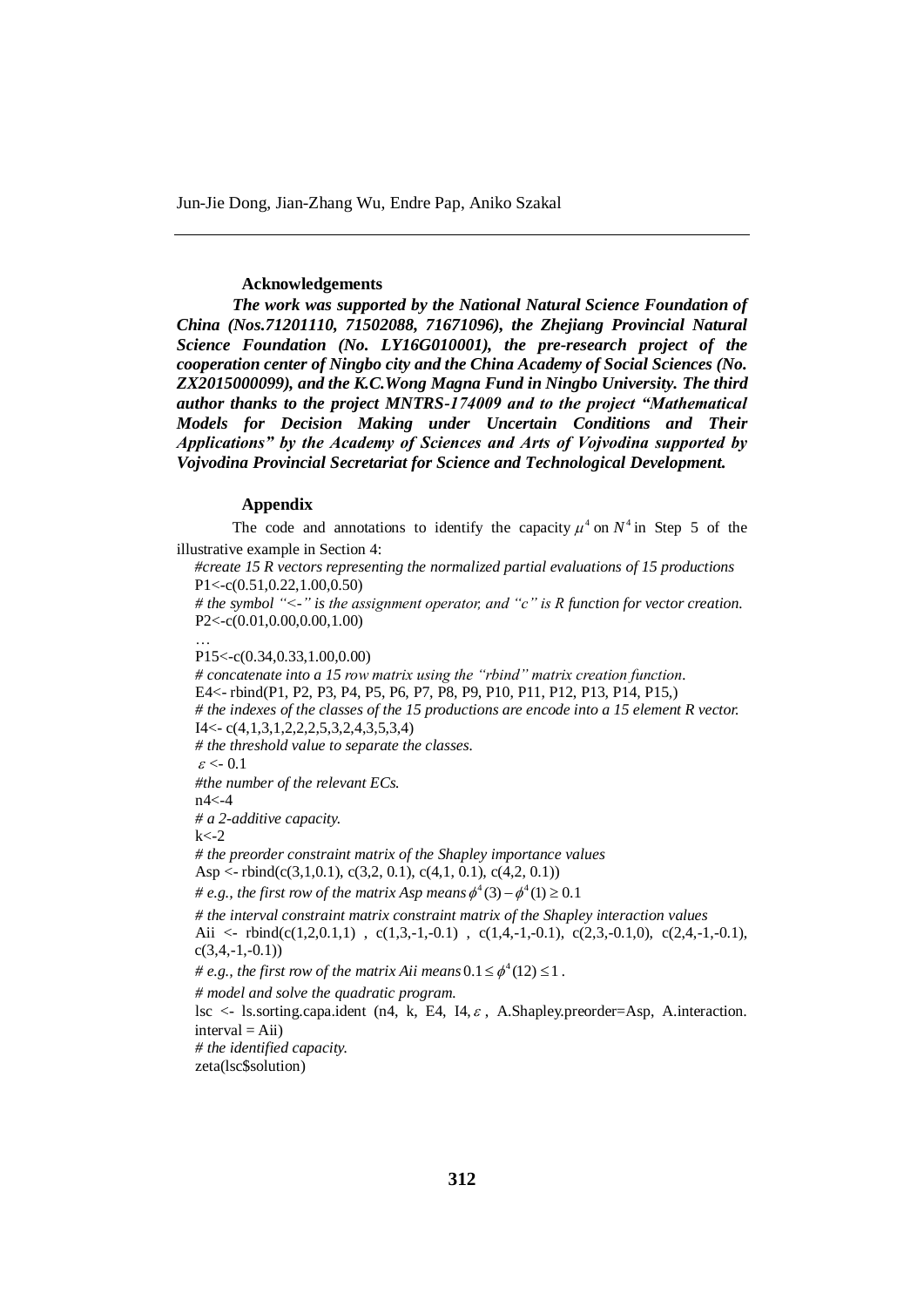# **Acknowledgements**

*The work was supported by the National Natural Science Foundation of China (Nos.71201110, 71502088, 71671096), the Zhejiang Provincial Natural Science Foundation (No. LY16G010001), the pre-research project of the cooperation center of Ningbo city and the China Academy of Social Sciences (No. ZX2015000099), and the K.C.Wong Magna Fund in Ningbo University. The third author thanks to the project MNTRS-174009 and to the project "Mathematical Models for Decision Making under Uncertain Conditions and Their Applications" by the Academy of Sciences and Arts of Vojvodina supported by Vojvodina Provincial Secretariat for Science and Technological Development.*

## **Appendix**

The code and annotations to identify the capacity  $\mu^4$  on  $N^4$  in Step 5 of the illustrative example in Section 4:

*#create 15 R vectors representing the normalized partial evaluations of 15 productions* P1<-c(0.51,0.22,1.00,0.50)

*# the symbol "<-" is the assignment operator, and "c" is R function for vector creation.* P2<-c(0.01,0.00,0.00,1.00)

P15<-c(0.34,0.33,1.00,0.00)

…

*# concatenate into a 15 row matrix using the "rbind" matrix creation function.* E4<- rbind(P1, P2, P3, P4, P5, P6, P7, P8, P9, P10, P11, P12, P13, P14, P15,) *# the indexes of the classes of the 15 productions are encode into a 15 element R vector.* I4<- c(4,1,3,1,2,2,2,5,3,2,4,3,5,3,4) *# the threshold value to separate the classes.*  $\varepsilon < 0.1$ *#the number of the relevant ECs.* n4<-4 *# a 2-additive capacity.*  $k < -2$ *# the preorder constraint matrix of the Shapley importance values* Asp <- rbind(c(3,1,0.1), c(3,2, 0.1), c(4,1, 0.1), c(4,2, 0.1)) # e.g., the first row of the matrix Asp means  $\phi^4(3) - \phi^4(1) \ge 0.1$ *# the interval constraint matrix constraint matrix of the Shapley interaction values* Aii <- rbind(c(1,2,0.1,1), c(1,3,-1,-0.1), c(1,4,-1,-0.1), c(2,3,-0.1,0), c(2,4,-1,-0.1),  $c(3,4,-1,-0.1))$ # e.g., the first row of the matrix Aii means  $0.1 \leq \phi^4(12) \leq 1$ . *# model and solve the quadratic program.* lsc <- ls.sorting.capa.ident (n4, k, E4, I4,  $\varepsilon$ , A.Shapley.preorder=Asp, A.interaction.  $interval = Aii)$ *# the identified capacity.* zeta(lsc\$solution)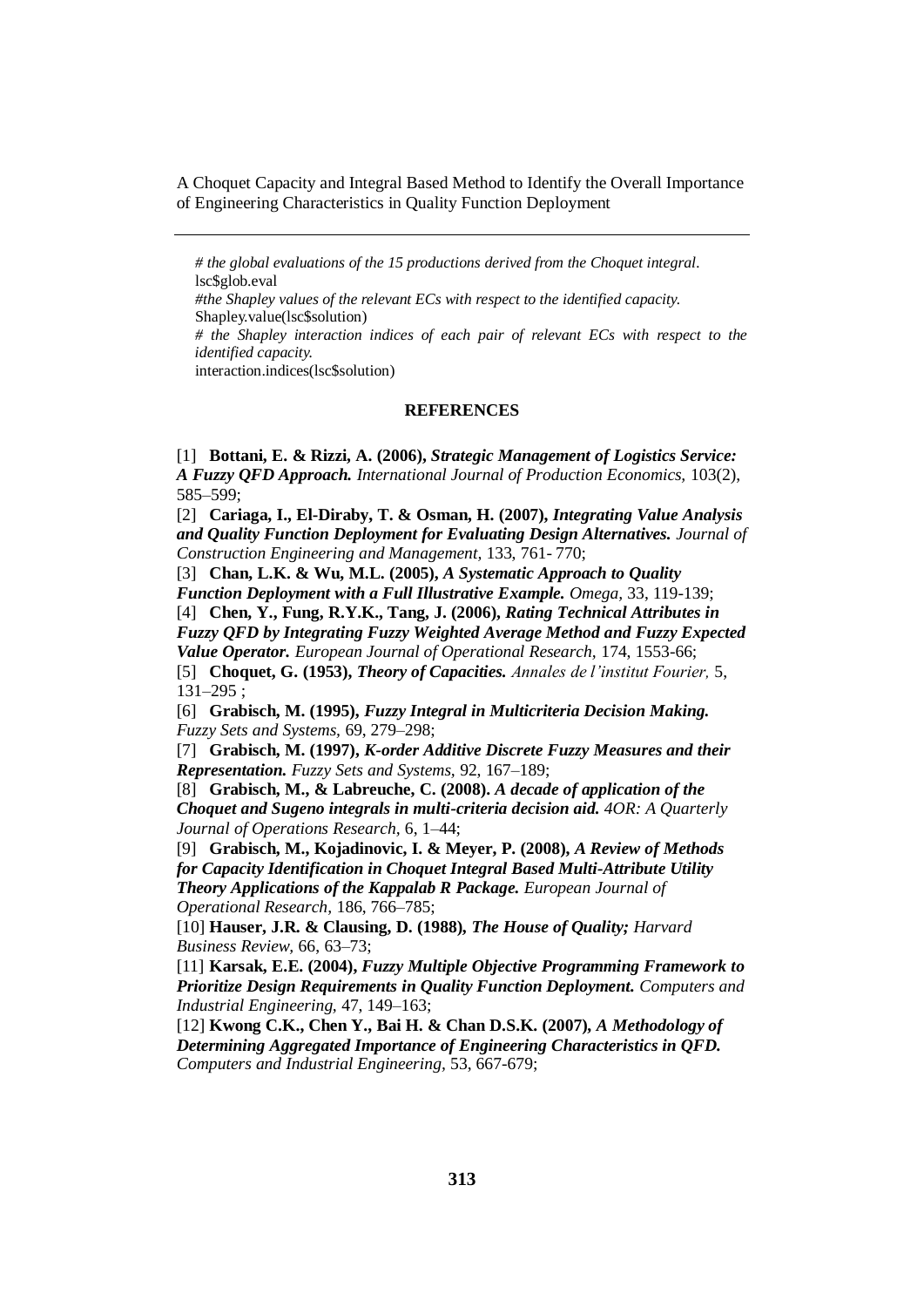*# the global evaluations of the 15 productions derived from the Choquet integral.* lsc\$glob.eval *#the Shapley values of the relevant ECs with respect to the identified capacity.* Shapley.value(lsc\$solution) *# the Shapley interaction indices of each pair of relevant ECs with respect to the identified capacity.* interaction.indices(lsc\$solution)

#### **REFERENCES**

[1] **Bottani, E. & Rizzi, A. (2006),** *Strategic Management of Logistics Service: A Fuzzy QFD Approach. International Journal of Production Economics,* 103(2), 585–599;

[2] **Cariaga, I., El-Diraby, T. & Osman, H. (2007),** *Integrating Value Analysis and Quality Function Deployment for Evaluating Design Alternatives. Journal of Construction Engineering and Management,* 133, 761- 770;

[3] **Chan, L.K. & Wu, M.L. (2005),** *A Systematic Approach to Quality Function Deployment with a Full Illustrative Example. Omega,* 33, 119-139;

[4] **Chen, Y., Fung, R.Y.K., Tang, J. (2006),** *Rating Technical Attributes in Fuzzy QFD by Integrating Fuzzy Weighted Average Method and Fuzzy Expected Value Operator. European Journal of Operational Research,* 174, 1553-66;

[5] **Choquet, G. (1953),** *Theory of Capacities. Annales de l'institut Fourier,* 5, 131–295 ;

[6] **Grabisch, M. (1995),** *Fuzzy Integral in Multicriteria Decision Making. Fuzzy Sets and Systems,* 69, 279–298;

[7] **Grabisch, M. (1997),** *K-order Additive Discrete Fuzzy Measures and their Representation. Fuzzy Sets and Systems,* 92, 167–189;

[8] **Grabisch, M., & Labreuche, C. (2008).** *A decade of application of the Choquet and Sugeno integrals in multi-criteria decision aid. 4OR: A Quarterly Journal of Operations Research,* 6, 1–44;

[9] **Grabisch, M., Kojadinovic, I. & Meyer, P. (2008),** *A Review of Methods for Capacity Identification in Choquet Integral Based Multi-Attribute Utility Theory Applications of the Kappalab R Package. European Journal of Operational Research,* 186, 766–785;

[10] **Hauser, J.R. & Clausing, D. (1988),** *The House of Quality; Harvard Business Review,* 66, 63–73;

[11] **Karsak, E.E. (2004),** *Fuzzy Multiple Objective Programming Framework to Prioritize Design Requirements in Quality Function Deployment. Computers and Industrial Engineering,* 47, 149–163;

[12] **Kwong C.K., Chen Y., Bai H. & Chan D.S.K. (2007),** *A Methodology of Determining Aggregated Importance of Engineering Characteristics in QFD. Computers and Industrial Engineering,* 53, 667-679;